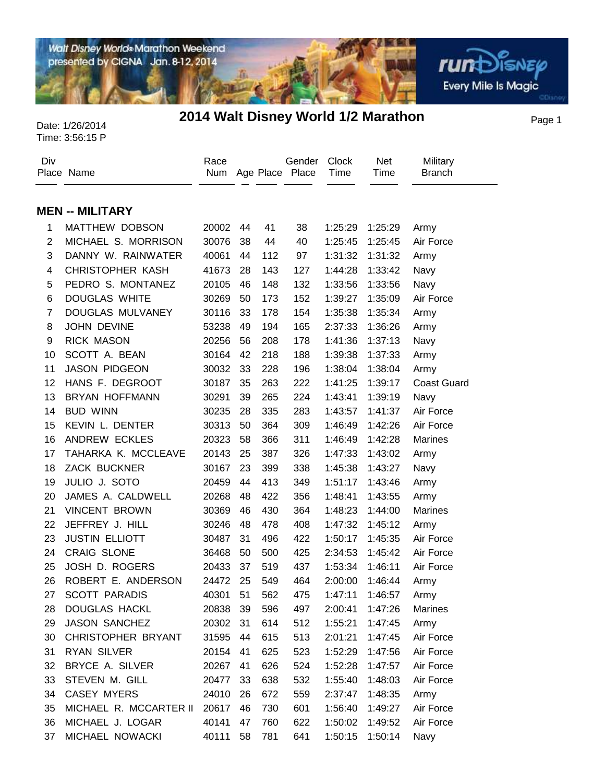Walt Disney World® Marathon Weekend

presented by CIGNA Jan. 8-12, 2014

# Page 1 Date: 1/26/2014 **2014 Walt Disney World 1/2 Marathon**

**rum**Disnep

**Every Mile Is Magic** 

| Div            | Place Name              | Race<br>Num |    |     | Gender<br>Age Place Place | <b>Clock</b><br>Time | Net<br>Time     | Military<br><b>Branch</b> |
|----------------|-------------------------|-------------|----|-----|---------------------------|----------------------|-----------------|---------------------------|
|                | <b>MEN -- MILITARY</b>  |             |    |     |                           |                      |                 |                           |
| 1              | MATTHEW DOBSON          | 20002       | 44 | 41  | 38                        | 1:25:29              | 1:25:29         | Army                      |
| $\overline{2}$ | MICHAEL S. MORRISON     | 30076       | 38 | 44  | 40                        | 1:25:45              | 1:25:45         | Air Force                 |
| 3              | DANNY W. RAINWATER      | 40061       | 44 | 112 | 97                        | 1:31:32              | 1:31:32         | Army                      |
| 4              | <b>CHRISTOPHER KASH</b> | 41673       | 28 | 143 | 127                       | 1:44:28              | 1:33:42         | Navy                      |
| 5              | PEDRO S. MONTANEZ       | 20105       | 46 | 148 | 132                       | 1:33:56              | 1:33:56         | Navy                      |
| 6              | <b>DOUGLAS WHITE</b>    | 30269       | 50 | 173 | 152                       | 1:39:27              | 1:35:09         | Air Force                 |
| $\overline{7}$ | DOUGLAS MULVANEY        | 30116       | 33 | 178 | 154                       | 1:35:38              | 1:35:34         | Army                      |
| 8              | JOHN DEVINE             | 53238       | 49 | 194 | 165                       | 2:37:33              | 1:36:26         | Army                      |
| 9              | <b>RICK MASON</b>       | 20256       | 56 | 208 | 178                       | 1:41:36              | 1:37:13         | Navy                      |
| 10             | SCOTT A. BEAN           | 30164       | 42 | 218 | 188                       | 1:39:38              | 1:37:33         | Army                      |
| 11             | <b>JASON PIDGEON</b>    | 30032       | 33 | 228 | 196                       | 1:38:04              | 1:38:04         | Army                      |
| 12             | HANS F. DEGROOT         | 30187       | 35 | 263 | 222                       | 1:41:25              | 1:39:17         | <b>Coast Guard</b>        |
| 13             | <b>BRYAN HOFFMANN</b>   | 30291       | 39 | 265 | 224                       | 1:43:41              | 1:39:19         | Navy                      |
| 14             | <b>BUD WINN</b>         | 30235       | 28 | 335 | 283                       | 1:43:57              | 1:41:37         | Air Force                 |
| 15             | KEVIN L. DENTER         | 30313       | 50 | 364 | 309                       | 1:46:49              | 1:42:26         | Air Force                 |
| 16             | ANDREW ECKLES           | 20323       | 58 | 366 | 311                       | 1:46:49              | 1:42:28         | <b>Marines</b>            |
| 17             | TAHARKA K. MCCLEAVE     | 20143       | 25 | 387 | 326                       | 1:47:33              | 1:43:02         | Army                      |
| 18             | <b>ZACK BUCKNER</b>     | 30167       | 23 | 399 | 338                       | 1:45:38              | 1:43:27         | Navy                      |
| 19             | JULIO J. SOTO           | 20459       | 44 | 413 | 349                       | 1:51:17              | 1:43:46         | Army                      |
| 20             | JAMES A. CALDWELL       | 20268       | 48 | 422 | 356                       | 1:48:41              | 1:43:55         | Army                      |
| 21             | <b>VINCENT BROWN</b>    | 30369       | 46 | 430 | 364                       | 1:48:23              | 1:44:00         | <b>Marines</b>            |
| 22             | JEFFREY J. HILL         | 30246       | 48 | 478 | 408                       | 1:47:32              | 1:45:12         | Army                      |
| 23             | <b>JUSTIN ELLIOTT</b>   | 30487       | 31 | 496 | 422                       | 1:50:17              | 1:45:35         | Air Force                 |
| 24             | <b>CRAIG SLONE</b>      | 36468       | 50 | 500 | 425                       | 2:34:53              | 1:45:42         | Air Force                 |
| 25             | JOSH D. ROGERS          | 20433       | 37 | 519 | 437                       | 1:53:34              | 1:46:11         | Air Force                 |
| 26             | ROBERT E. ANDERSON      | 24472       | 25 | 549 | 464                       | 2:00:00              | 1:46:44         | Army                      |
| 27             | <b>SCOTT PARADIS</b>    | 40301 51    |    | 562 | 475                       |                      | 1:47:11 1:46:57 | Army                      |
| 28             | DOUGLAS HACKL           | 20838 39    |    | 596 | 497                       | 2:00:41              | 1:47:26         | <b>Marines</b>            |
| 29             | JASON SANCHEZ           | 20302       | 31 | 614 | 512                       | 1:55:21              | 1:47:45         | Army                      |
| 30             | CHRISTOPHER BRYANT      | 31595       | 44 | 615 | 513                       | 2:01:21              | 1:47:45         | Air Force                 |
| 31             | <b>RYAN SILVER</b>      | 20154       | 41 | 625 | 523                       | 1:52:29              | 1:47:56         | Air Force                 |
| 32             | BRYCE A. SILVER         | 20267       | 41 | 626 | 524                       | 1:52:28              | 1:47:57         | Air Force                 |
| 33             | STEVEN M. GILL          | 20477       | 33 | 638 | 532                       | 1:55:40              | 1:48:03         | Air Force                 |
| 34             | CASEY MYERS             | 24010       | 26 | 672 | 559                       | 2:37:47              | 1:48:35         | Army                      |
| 35             | MICHAEL R. MCCARTER II  | 20617       | 46 | 730 | 601                       | 1:56:40              | 1:49:27         | Air Force                 |
| 36             | MICHAEL J. LOGAR        | 40141       | 47 | 760 | 622                       | 1:50:02              | 1:49:52         | Air Force                 |
| 37             | MICHAEL NOWACKI         | 40111       | 58 | 781 | 641                       |                      | 1:50:15 1:50:14 | Navy                      |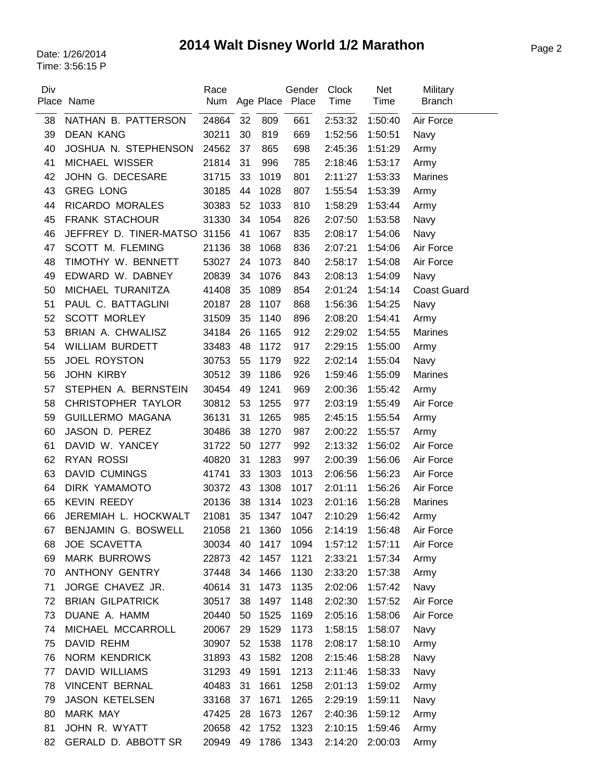# Page 2 Date: 1/26/2014 **2014 Walt Disney World 1/2 Marathon**

| Div | Place Name                   | Race<br>Num |    |      | Gender<br>Age Place Place | <b>Clock</b><br>Time | Net<br>Time | Military<br><b>Branch</b> |
|-----|------------------------------|-------------|----|------|---------------------------|----------------------|-------------|---------------------------|
| 38  | NATHAN B. PATTERSON          | 24864       | 32 | 809  | 661                       | 2:53:32              | 1:50:40     | Air Force                 |
| 39  | <b>DEAN KANG</b>             | 30211       | 30 | 819  | 669                       | 1:52:56              | 1:50:51     | Navy                      |
| 40  | JOSHUA N. STEPHENSON         | 24562       | 37 | 865  | 698                       | 2:45:36              | 1:51:29     | Army                      |
| 41  | MICHAEL WISSER               | 21814       | 31 | 996  | 785                       | 2:18:46              | 1:53:17     | Army                      |
| 42  | JOHN G. DECESARE             | 31715       | 33 | 1019 | 801                       | 2:11:27              | 1:53:33     | <b>Marines</b>            |
| 43  | <b>GREG LONG</b>             | 30185       | 44 | 1028 | 807                       | 1:55:54              | 1:53:39     | Army                      |
| 44  | RICARDO MORALES              | 30383       | 52 | 1033 | 810                       | 1:58:29              | 1:53:44     | Army                      |
| 45  | <b>FRANK STACHOUR</b>        | 31330       | 34 | 1054 | 826                       | 2:07:50              | 1:53:58     | Navy                      |
| 46  | JEFFREY D. TINER-MATSO 31156 |             | 41 | 1067 | 835                       | 2:08:17              | 1:54:06     | Navy                      |
| 47  | SCOTT M. FLEMING             | 21136       | 38 | 1068 | 836                       | 2:07:21              | 1:54:06     | Air Force                 |
| 48  | TIMOTHY W. BENNETT           | 53027       | 24 | 1073 | 840                       | 2:58:17              | 1:54:08     | Air Force                 |
| 49  | EDWARD W. DABNEY             | 20839       | 34 | 1076 | 843                       | 2:08:13              | 1:54:09     | Navy                      |
| 50  | MICHAEL TURANITZA            | 41408       | 35 | 1089 | 854                       | 2:01:24              | 1:54:14     | <b>Coast Guard</b>        |
| 51  | PAUL C. BATTAGLINI           | 20187       | 28 | 1107 | 868                       | 1:56:36              | 1:54:25     | Navy                      |
| 52  | <b>SCOTT MORLEY</b>          | 31509       | 35 | 1140 | 896                       | 2:08:20              | 1:54:41     | Army                      |
| 53  | BRIAN A. CHWALISZ            | 34184       | 26 | 1165 | 912                       | 2:29:02              | 1:54:55     | <b>Marines</b>            |
| 54  | <b>WILLIAM BURDETT</b>       | 33483       | 48 | 1172 | 917                       | 2:29:15              | 1:55:00     | Army                      |
| 55  | <b>JOEL ROYSTON</b>          | 30753       | 55 | 1179 | 922                       | 2:02:14              | 1:55:04     | Navy                      |
| 56  | <b>JOHN KIRBY</b>            | 30512       | 39 | 1186 | 926                       | 1:59:46              | 1:55:09     | Marines                   |
| 57  | STEPHEN A. BERNSTEIN         | 30454       | 49 | 1241 | 969                       | 2:00:36              | 1:55:42     | Army                      |
| 58  | <b>CHRISTOPHER TAYLOR</b>    | 30812       | 53 | 1255 | 977                       | 2:03:19              | 1:55:49     | Air Force                 |
| 59  | <b>GUILLERMO MAGANA</b>      | 36131       | 31 | 1265 | 985                       | 2:45:15              | 1:55:54     | Army                      |
| 60  | JASON D. PEREZ               | 30486       | 38 | 1270 | 987                       | 2:00:22              | 1:55:57     | Army                      |
| 61  | DAVID W. YANCEY              | 31722       | 50 | 1277 | 992                       | 2:13:32              | 1:56:02     | Air Force                 |
| 62  | <b>RYAN ROSSI</b>            | 40820       | 31 | 1283 | 997                       | 2:00:39              | 1:56:06     | Air Force                 |
| 63  | <b>DAVID CUMINGS</b>         | 41741       | 33 | 1303 | 1013                      | 2:06:56              | 1:56:23     | Air Force                 |
| 64  | <b>DIRK YAMAMOTO</b>         | 30372       | 43 | 1308 | 1017                      | 2:01:11              | 1:56:26     | Air Force                 |
| 65  | <b>KEVIN REEDY</b>           | 20136       | 38 | 1314 | 1023                      | 2:01:16              | 1:56:28     | Marines                   |
| 66  | JEREMIAH L. HOCKWALT         | 21081       | 35 | 1347 | 1047                      | 2:10:29              | 1:56:42     | Army                      |
| 67  | BENJAMIN G. BOSWELL          | 21058       | 21 | 1360 | 1056                      | 2:14:19              | 1:56:48     | Air Force                 |
| 68  | <b>JOE SCAVETTA</b>          | 30034       | 40 | 1417 | 1094                      | 1:57:12              | 1:57:11     | Air Force                 |
| 69  | <b>MARK BURROWS</b>          | 22873       | 42 | 1457 | 1121                      | 2:33:21              | 1:57:34     | Army                      |
| 70  | ANTHONY GENTRY               | 37448       | 34 | 1466 | 1130                      | 2:33:20              | 1:57:38     | Army                      |
| 71  | JORGE CHAVEZ JR.             | 40614       | 31 | 1473 | 1135                      | 2:02:06              | 1:57:42     | Navy                      |
| 72  | <b>BRIAN GILPATRICK</b>      | 30517       | 38 | 1497 | 1148                      | 2:02:30              | 1:57:52     | Air Force                 |
| 73  | DUANE A. HAMM                | 20440       | 50 | 1525 | 1169                      | 2:05:16              | 1:58:06     | Air Force                 |
| 74  | MICHAEL MCCARROLL            | 20067       | 29 | 1529 | 1173                      | 1:58:15              | 1:58:07     | Navy                      |
| 75  | DAVID REHM                   | 30907       | 52 | 1538 | 1178                      | 2:08:17              | 1:58:10     | Army                      |
| 76  | <b>NORM KENDRICK</b>         | 31893       | 43 | 1582 | 1208                      | 2:15:46              | 1:58:28     | Navy                      |
| 77  | DAVID WILLIAMS               | 31293       | 49 | 1591 | 1213                      | 2:11:46              | 1:58:33     | Navy                      |
| 78  | <b>VINCENT BERNAL</b>        | 40483       | 31 | 1661 | 1258                      | 2:01:13              | 1:59:02     | Army                      |
| 79  | <b>JASON KETELSEN</b>        | 33168       | 37 | 1671 | 1265                      | 2:29:19              | 1:59:11     | Navy                      |
| 80  | <b>MARK MAY</b>              | 47425       | 28 | 1673 | 1267                      | 2:40:36              | 1:59:12     | Army                      |
| 81  | JOHN R. WYATT                | 20658       | 42 | 1752 | 1323                      | 2:10:15              | 1:59:46     | Army                      |
| 82  | GERALD D. ABBOTT SR          | 20949       | 49 | 1786 | 1343                      | 2:14:20              | 2:00:03     | Army                      |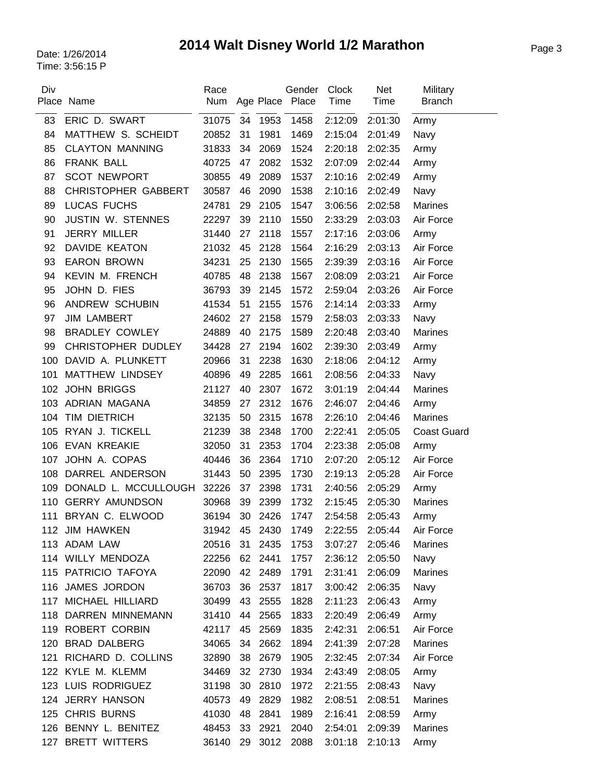# Page 3 Date: 1/26/2014 **2014 Walt Disney World 1/2 Marathon**

| Div | Place Name                 | Race<br>Num |    |         | Gender<br>Age Place Place | <b>Clock</b><br>Time | <b>Net</b><br>Time | Military<br><b>Branch</b> |
|-----|----------------------------|-------------|----|---------|---------------------------|----------------------|--------------------|---------------------------|
| 83  | ERIC D. SWART              | 31075       | 34 | 1953    | 1458                      | 2:12:09              | 2:01:30            | Army                      |
| 84  | MATTHEW S. SCHEIDT         | 20852       | 31 | 1981    | 1469                      | 2:15:04              | 2:01:49            | Navy                      |
| 85  | <b>CLAYTON MANNING</b>     | 31833       | 34 | 2069    | 1524                      | 2:20:18              | 2:02:35            | Army                      |
| 86  | <b>FRANK BALL</b>          | 40725       | 47 | 2082    | 1532                      | 2:07:09              | 2:02:44            | Army                      |
| 87  | <b>SCOT NEWPORT</b>        | 30855       | 49 | 2089    | 1537                      | 2:10:16              | 2:02:49            | Army                      |
| 88  | <b>CHRISTOPHER GABBERT</b> | 30587       | 46 | 2090    | 1538                      | 2:10:16              | 2:02:49            | Navy                      |
| 89  | <b>LUCAS FUCHS</b>         | 24781       | 29 | 2105    | 1547                      | 3:06:56              | 2:02:58            | Marines                   |
| 90  | <b>JUSTIN W. STENNES</b>   | 22297       | 39 | 2110    | 1550                      | 2:33:29              | 2:03:03            | Air Force                 |
| 91  | <b>JERRY MILLER</b>        | 31440       | 27 | 2118    | 1557                      | 2:17:16              | 2:03:06            | Army                      |
| 92  | DAVIDE KEATON              | 21032       | 45 | 2128    | 1564                      | 2:16:29              | 2:03:13            | Air Force                 |
| 93  | <b>EARON BROWN</b>         | 34231       | 25 | 2130    | 1565                      | 2:39:39              | 2:03:16            | Air Force                 |
| 94  | KEVIN M. FRENCH            | 40785       | 48 | 2138    | 1567                      | 2:08:09              | 2:03:21            | Air Force                 |
| 95  | JOHN D. FIES               | 36793       | 39 | 2145    | 1572                      | 2:59:04              | 2:03:26            | Air Force                 |
| 96  | ANDREW SCHUBIN             | 41534       | 51 | 2155    | 1576                      | 2:14:14              | 2:03:33            | Army                      |
| 97  | <b>JIM LAMBERT</b>         | 24602       | 27 | 2158    | 1579                      | 2:58:03              | 2:03:33            | Navy                      |
| 98  | <b>BRADLEY COWLEY</b>      | 24889       | 40 | 2175    | 1589                      | 2:20:48              | 2:03:40            | <b>Marines</b>            |
| 99  | CHRISTOPHER DUDLEY         | 34428       | 27 | 2194    | 1602                      | 2:39:30              | 2:03:49            | Army                      |
| 100 | DAVID A. PLUNKETT          | 20966       | 31 | 2238    | 1630                      | 2:18:06              | 2:04:12            | Army                      |
| 101 | MATTHEW LINDSEY            | 40896       | 49 | 2285    | 1661                      | 2:08:56              | 2:04:33            | Navy                      |
| 102 | <b>JOHN BRIGGS</b>         | 21127       | 40 | 2307    | 1672                      | 3:01:19              | 2:04:44            | Marines                   |
| 103 | ADRIAN MAGANA              | 34859       | 27 | 2312    | 1676                      | 2:46:07              | 2:04:46            | Army                      |
| 104 | TIM DIETRICH               | 32135       | 50 | 2315    | 1678                      | 2:26:10              | 2:04:46            | <b>Marines</b>            |
| 105 | RYAN J. TICKELL            | 21239       | 38 | 2348    | 1700                      | 2:22:41              | 2:05:05            | <b>Coast Guard</b>        |
| 106 | <b>EVAN KREAKIE</b>        | 32050       | 31 | 2353    | 1704                      | 2:23:38              | 2:05:08            | Army                      |
| 107 | JOHN A. COPAS              | 40446       | 36 | 2364    | 1710                      | 2:07:20              | 2:05:12            | Air Force                 |
| 108 | DARREL ANDERSON            | 31443       | 50 | 2395    | 1730                      | 2:19:13              | 2:05:28            | Air Force                 |
| 109 | DONALD L. MCCULLOUGH       | 32226       | 37 | 2398    | 1731                      | 2:40:56              | 2:05:29            | Army                      |
| 110 | <b>GERRY AMUNDSON</b>      | 30968       | 39 | 2399    | 1732                      | 2:15:45              | 2:05:30            | <b>Marines</b>            |
| 111 | BRYAN C. ELWOOD            | 36194       | 30 | 2426    | 1747                      | 2:54:58              | 2:05:43            | Army                      |
|     | 112 JIM HAWKEN             | 31942       | 45 | 2430    | 1749                      | 2:22:55              | 2:05:44            | Air Force                 |
|     | 113 ADAM LAW               | 20516       | 31 | 2435    | 1753                      | 3:07:27              | 2:05:46            | Marines                   |
|     | 114 WILLY MENDOZA          | 22256       | 62 | 2441    | 1757                      | 2:36:12              | 2:05:50            | Navy                      |
|     | 115 PATRICIO TAFOYA        | 22090       |    | 42 2489 | 1791                      | 2:31:41              | 2:06:09            | Marines                   |
|     | 116 JAMES JORDON           | 36703       | 36 | 2537    | 1817                      | 3:00:42              | 2:06:35            | Navy                      |
|     | 117 MICHAEL HILLIARD       | 30499       | 43 | 2555    | 1828                      | 2:11:23              | 2:06:43            | Army                      |
|     | 118 DARREN MINNEMANN       | 31410       | 44 | 2565    | 1833                      | 2:20:49              | 2:06:49            | Army                      |
|     | 119 ROBERT CORBIN          | 42117       | 45 | 2569    | 1835                      | 2:42:31              | 2:06:51            | Air Force                 |
|     | 120 BRAD DALBERG           | 34065       | 34 | 2662    | 1894                      | 2:41:39              | 2:07:28            | Marines                   |
|     | 121 RICHARD D. COLLINS     | 32890       | 38 | 2679    | 1905                      | 2:32:45              | 2:07:34            | Air Force                 |
|     | 122 KYLE M. KLEMM          | 34469       | 32 | 2730    | 1934                      | 2:43:49              | 2:08:05            | Army                      |
|     | 123 LUIS RODRIGUEZ         | 31198       | 30 | 2810    | 1972                      | 2:21:55              | 2:08:43            | Navy                      |
|     | 124 JERRY HANSON           | 40573       | 49 | 2829    | 1982                      | 2:08:51              | 2:08:51            | Marines                   |
|     | 125 CHRIS BURNS            | 41030       | 48 | 2841    | 1989                      | 2:16:41              | 2:08:59            | Army                      |
|     | 126 BENNY L. BENITEZ       | 48453       | 33 | 2921    | 2040                      | 2:54:01              | 2:09:39            | Marines                   |
|     | 127 BRETT WITTERS          | 36140       |    | 29 3012 | 2088                      | 3:01:18              | 2:10:13            | Army                      |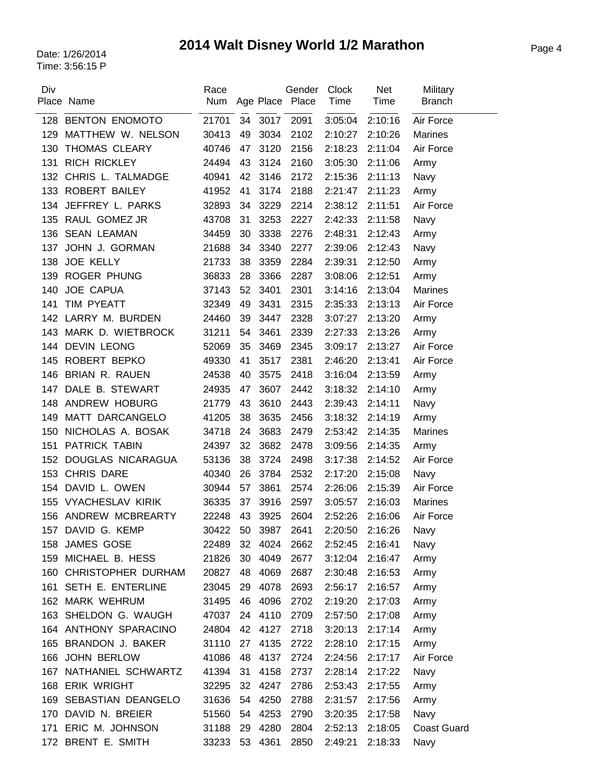# Page 4 Date: 1/26/2014 **2014 Walt Disney World 1/2 Marathon**

| Div | Place Name              | Race<br>Num |    |      | Gender<br>Age Place Place | <b>Clock</b><br>Time | <b>Net</b><br>Time | Military<br><b>Branch</b> |
|-----|-------------------------|-------------|----|------|---------------------------|----------------------|--------------------|---------------------------|
| 128 | <b>BENTON ENOMOTO</b>   | 21701       | 34 | 3017 | 2091                      | 3:05:04              | 2:10:16            | Air Force                 |
| 129 | MATTHEW W. NELSON       | 30413       | 49 | 3034 | 2102                      | 2:10:27              | 2:10:26            | <b>Marines</b>            |
| 130 | <b>THOMAS CLEARY</b>    | 40746       | 47 | 3120 | 2156                      | 2:18:23              | 2:11:04            | Air Force                 |
| 131 | <b>RICH RICKLEY</b>     | 24494       | 43 | 3124 | 2160                      | 3:05:30              | 2:11:06            | Army                      |
|     | 132 CHRIS L. TALMADGE   | 40941       | 42 | 3146 | 2172                      | 2:15:36              | 2:11:13            | Navy                      |
| 133 | <b>ROBERT BAILEY</b>    | 41952       | 41 | 3174 | 2188                      | 2:21:47              | 2:11:23            | Army                      |
| 134 | JEFFREY L. PARKS        | 32893       | 34 | 3229 | 2214                      | 2:38:12              | 2:11:51            | Air Force                 |
| 135 | RAUL GOMEZ JR           | 43708       | 31 | 3253 | 2227                      | 2:42:33              | 2:11:58            | Navy                      |
| 136 | <b>SEAN LEAMAN</b>      | 34459       | 30 | 3338 | 2276                      | 2:48:31              | 2:12:43            | Army                      |
| 137 | JOHN J. GORMAN          | 21688       | 34 | 3340 | 2277                      | 2:39:06              | 2:12:43            | Navy                      |
| 138 | <b>JOE KELLY</b>        | 21733       | 38 | 3359 | 2284                      | 2:39:31              | 2:12:50            | Army                      |
| 139 | <b>ROGER PHUNG</b>      | 36833       | 28 | 3366 | 2287                      | 3:08:06              | 2:12:51            | Army                      |
| 140 | JOE CAPUA               | 37143       | 52 | 3401 | 2301                      | 3:14:16              | 2:13:04            | <b>Marines</b>            |
| 141 | TIM PYEATT              | 32349       | 49 | 3431 | 2315                      | 2:35:33              | 2:13:13            | Air Force                 |
|     | 142 LARRY M. BURDEN     | 24460       | 39 | 3447 | 2328                      | 3:07:27              | 2:13:20            | Army                      |
| 143 | MARK D. WIETBROCK       | 31211       | 54 | 3461 | 2339                      | 2:27:33              | 2:13:26            | Army                      |
| 144 | <b>DEVIN LEONG</b>      | 52069       | 35 | 3469 | 2345                      | 3:09:17              | 2:13:27            | Air Force                 |
| 145 | ROBERT BEPKO            | 49330       | 41 | 3517 | 2381                      | 2:46:20              | 2:13:41            | Air Force                 |
| 146 | <b>BRIAN R. RAUEN</b>   | 24538       | 40 | 3575 | 2418                      | 3:16:04              | 2:13:59            | Army                      |
| 147 | DALE B. STEWART         | 24935       | 47 | 3607 | 2442                      | 3:18:32              | 2:14:10            | Army                      |
| 148 | ANDREW HOBURG           | 21779       | 43 | 3610 | 2443                      | 2:39:43              | 2:14:11            | Navy                      |
| 149 | MATT DARCANGELO         | 41205       | 38 | 3635 | 2456                      | 3:18:32              | 2:14:19            | Army                      |
| 150 | NICHOLAS A. BOSAK       | 34718       | 24 | 3683 | 2479                      | 2:53:42              | 2:14:35            | Marines                   |
| 151 | <b>PATRICK TABIN</b>    | 24397       | 32 | 3682 | 2478                      | 3:09:56              | 2:14:35            | Army                      |
| 152 | DOUGLAS NICARAGUA       | 53136       | 38 | 3724 | 2498                      | 3:17:38              | 2:14:52            | Air Force                 |
| 153 | <b>CHRIS DARE</b>       | 40340       | 26 | 3784 | 2532                      | 2:17:20              | 2:15:08            | Navy                      |
| 154 | DAVID L. OWEN           | 30944       | 57 | 3861 | 2574                      | 2:26:06              | 2:15:39            | Air Force                 |
| 155 | <b>VYACHESLAV KIRIK</b> | 36335       | 37 | 3916 | 2597                      | 3:05:57              | 2:16:03            | <b>Marines</b>            |
|     | 156 ANDREW MCBREARTY    | 22248       | 43 | 3925 | 2604                      | 2:52:26              | 2:16:06            | Air Force                 |
|     | 157 DAVID G. KEMP       | 30422       | 50 | 3987 | 2641                      | 2:20:50              | 2:16:26            | Navy                      |
|     | 158 JAMES GOSE          | 22489       | 32 | 4024 | 2662                      | 2:52:45              | 2:16:41            | Navy                      |
| 159 | MICHAEL B. HESS         | 21826       | 30 | 4049 | 2677                      | 3:12:04              | 2:16:47            | Army                      |
|     | 160 CHRISTOPHER DURHAM  | 20827       | 48 | 4069 | 2687                      | 2:30:48              | 2:16:53            | Army                      |
|     | 161 SETH E. ENTERLINE   | 23045       | 29 | 4078 | 2693                      | 2:56:17              | 2:16:57            | Army                      |
|     | 162 MARK WEHRUM         | 31495       | 46 | 4096 | 2702                      | 2:19:20              | 2:17:03            | Army                      |
|     | 163 SHELDON G. WAUGH    | 47037       | 24 | 4110 | 2709                      | 2:57:50              | 2:17:08            | Army                      |
|     | 164 ANTHONY SPARACINO   | 24804       | 42 | 4127 | 2718                      | 3:20:13              | 2:17:14            | Army                      |
|     | 165 BRANDON J. BAKER    | 31110       | 27 | 4135 | 2722                      | 2:28:10              | 2:17:15            | Army                      |
|     | 166 JOHN BERLOW         | 41086       | 48 | 4137 | 2724                      | 2:24:56              | 2:17:17            | Air Force                 |
| 167 | NATHANIEL SCHWARTZ      | 41394       | 31 | 4158 | 2737                      | 2:28:14              | 2:17:22            | Navy                      |
| 168 | <b>ERIK WRIGHT</b>      | 32295       | 32 | 4247 | 2786                      | 2:53:43              | 2:17:55            | Army                      |
| 169 | SEBASTIAN DEANGELO      | 31636       | 54 | 4250 | 2788                      | 2:31:57              | 2:17:56            | Army                      |
| 170 | DAVID N. BREIER         | 51560       | 54 | 4253 | 2790                      | 3:20:35              | 2:17:58            | Navy                      |
|     | 171 ERIC M. JOHNSON     | 31188       | 29 | 4280 | 2804                      | 2:52:13              | 2:18:05            | <b>Coast Guard</b>        |
| 172 | BRENT E. SMITH          | 33233       | 53 | 4361 | 2850                      | 2:49:21              | 2:18:33            | Navy                      |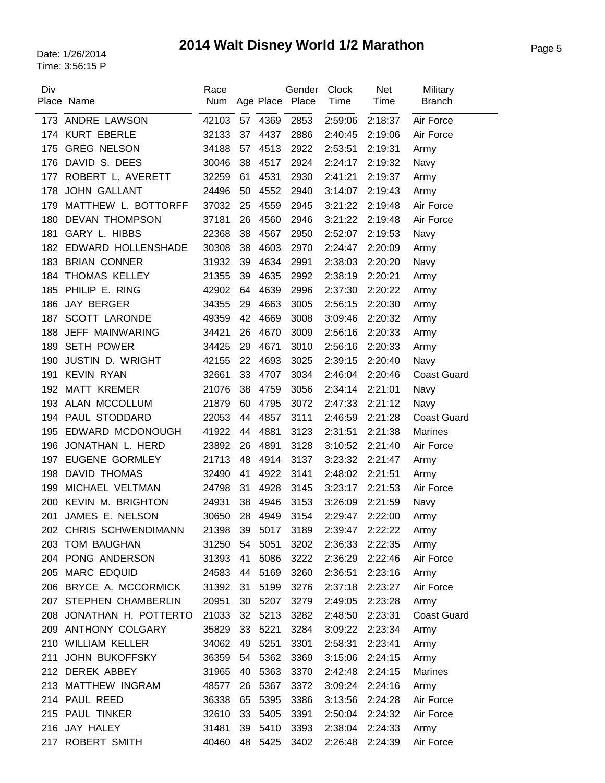# Page 5 Date: 1/26/2014 **2014 Walt Disney World 1/2 Marathon**

| Div | Place Name               | Race<br>Num |    |              | Gender<br>Age Place Place | <b>Clock</b><br>Time | <b>Net</b><br>Time | Military<br><b>Branch</b> |
|-----|--------------------------|-------------|----|--------------|---------------------------|----------------------|--------------------|---------------------------|
| 173 | ANDRE LAWSON             | 42103       | 57 |              | 2853                      | 2:59:06              | 2:18:37            | Air Force                 |
|     | 174 KURT EBERLE          | 32133       | 37 | 4369<br>4437 | 2886                      | 2:40:45              | 2:19:06            | Air Force                 |
| 175 | <b>GREG NELSON</b>       | 34188       | 57 | 4513         | 2922                      | 2:53:51              | 2:19:31            | Army                      |
| 176 | DAVID S. DEES            | 30046       | 38 | 4517         | 2924                      | 2:24:17              | 2:19:32            | Navy                      |
| 177 | ROBERT L. AVERETT        | 32259       | 61 | 4531         | 2930                      | 2:41:21              | 2:19:37            | Army                      |
| 178 | <b>JOHN GALLANT</b>      | 24496       | 50 | 4552         | 2940                      | 3:14:07              | 2:19:43            | Army                      |
| 179 | MATTHEW L. BOTTORFF      | 37032       | 25 | 4559         | 2945                      | 3:21:22              | 2:19:48            | Air Force                 |
| 180 | <b>DEVAN THOMPSON</b>    | 37181       | 26 | 4560         | 2946                      | 3:21:22              | 2:19:48            | Air Force                 |
| 181 | <b>GARY L. HIBBS</b>     | 22368       | 38 | 4567         | 2950                      | 2:52:07              | 2:19:53            | Navy                      |
| 182 | EDWARD HOLLENSHADE       | 30308       | 38 | 4603         | 2970                      | 2:24:47              | 2:20:09            |                           |
| 183 | <b>BRIAN CONNER</b>      | 31932       | 39 | 4634         | 2991                      |                      |                    | Army                      |
|     | THOMAS KELLEY            | 21355       | 39 | 4635         | 2992                      | 2:38:03<br>2:38:19   | 2:20:20<br>2:20:21 | Navy                      |
| 184 | PHILIP E. RING           | 42902       |    | 4639         |                           |                      | 2:20:22            | Army                      |
| 185 | JAY BERGER               |             | 64 |              | 2996                      | 2:37:30              |                    | Army                      |
| 186 |                          | 34355       | 29 | 4663         | 3005                      | 2:56:15              | 2:20:30            | Army                      |
| 187 | <b>SCOTT LARONDE</b>     | 49359       | 42 | 4669         | 3008                      | 3:09:46              | 2:20:32            | Army                      |
| 188 | JEFF MAINWARING          | 34421       | 26 | 4670         | 3009                      | 2:56:16              | 2:20:33            | Army                      |
| 189 | <b>SETH POWER</b>        | 34425       | 29 | 4671         | 3010                      | 2:56:16              | 2:20:33            | Army                      |
| 190 | <b>JUSTIN D. WRIGHT</b>  | 42155       | 22 | 4693         | 3025                      | 2:39:15              | 2:20:40            | Navy                      |
| 191 | <b>KEVIN RYAN</b>        | 32661       | 33 | 4707         | 3034                      | 2:46:04              | 2:20:46            | <b>Coast Guard</b>        |
| 192 | <b>MATT KREMER</b>       | 21076       | 38 | 4759         | 3056                      | 2:34:14              | 2:21:01            | Navy                      |
| 193 | ALAN MCCOLLUM            | 21879       | 60 | 4795         | 3072                      | 2:47:33              | 2:21:12            | Navy                      |
| 194 | PAUL STODDARD            | 22053       | 44 | 4857         | 3111                      | 2:46:59              | 2:21:28            | <b>Coast Guard</b>        |
| 195 | EDWARD MCDONOUGH         | 41922       | 44 | 4881         | 3123                      | 2:31:51              | 2:21:38            | <b>Marines</b>            |
| 196 | JONATHAN L. HERD         | 23892       | 26 | 4891         | 3128                      | 3:10:52              | 2:21:40            | Air Force                 |
| 197 | <b>EUGENE GORMLEY</b>    | 21713       | 48 | 4914         | 3137                      | 3:23:32              | 2:21:47            | Army                      |
| 198 | <b>DAVID THOMAS</b>      | 32490       | 41 | 4922         | 3141                      | 2:48:02              | 2:21:51            | Army                      |
| 199 | MICHAEL VELTMAN          | 24798       | 31 | 4928         | 3145                      | 3:23:17              | 2:21:53            | Air Force                 |
| 200 | <b>KEVIN M. BRIGHTON</b> | 24931       | 38 | 4946         | 3153                      | 3:26:09              | 2:21:59            | Navy                      |
| 201 | JAMES E. NELSON          | 30650       | 28 | 4949         | 3154                      | 2:29:47              | 2:22:00            | Army                      |
|     | 202 CHRIS SCHWENDIMANN   | 21398       | 39 | 5017         | 3189                      | 2:39:47              | 2:22:22            | Army                      |
|     | 203 TOM BAUGHAN          | 31250       | 54 | 5051         | 3202                      | 2:36:33              | 2:22:35            | Army                      |
|     | 204 PONG ANDERSON        | 31393       | 41 | 5086         | 3222                      | 2:36:29              | 2:22:46            | Air Force                 |
|     | 205 MARC EDQUID          | 24583       | 44 | 5169         | 3260                      | 2:36:51              | 2:23:16            | Army                      |
|     | 206 BRYCE A. MCCORMICK   | 31392       | 31 | 5199         | 3276                      | 2:37:18              | 2:23:27            | Air Force                 |
|     | 207 STEPHEN CHAMBERLIN   | 20951       | 30 | 5207         | 3279                      | 2:49:05              | 2:23:28            | Army                      |
|     | 208 JONATHAN H. POTTERTO | 21033       | 32 | 5213         | 3282                      | 2:48:50              | 2:23:31            | <b>Coast Guard</b>        |
|     | 209 ANTHONY COLGARY      | 35829       | 33 | 5221         | 3284                      | 3:09:22              | 2:23:34            | Army                      |
|     | 210 WILLIAM KELLER       | 34062       | 49 | 5251         | 3301                      | 2:58:31              | 2:23:41            | Army                      |
| 211 | JOHN BUKOFFSKY           | 36359       | 54 | 5362         | 3369                      | 3:15:06              | 2:24:15            | Army                      |
|     | 212 DEREK ABBEY          | 31965       | 40 | 5363         | 3370                      | 2:42:48              | 2:24:15            | <b>Marines</b>            |
|     | 213 MATTHEW INGRAM       | 48577       | 26 | 5367         | 3372                      | 3:09:24              | 2:24:16            | Army                      |
|     | 214 PAUL REED            | 36338       | 65 | 5395         | 3386                      | 3:13:56              | 2:24:28            | Air Force                 |
|     | 215 PAUL TINKER          | 32610       | 33 | 5405         | 3391                      | 2:50:04              | 2:24:32            | Air Force                 |
|     | 216 JAY HALEY            | 31481       | 39 | 5410         | 3393                      | 2:38:04              | 2:24:33            | Army                      |
|     | 217 ROBERT SMITH         | 40460       | 48 | 5425         | 3402                      | 2:26:48              | 2:24:39            | Air Force                 |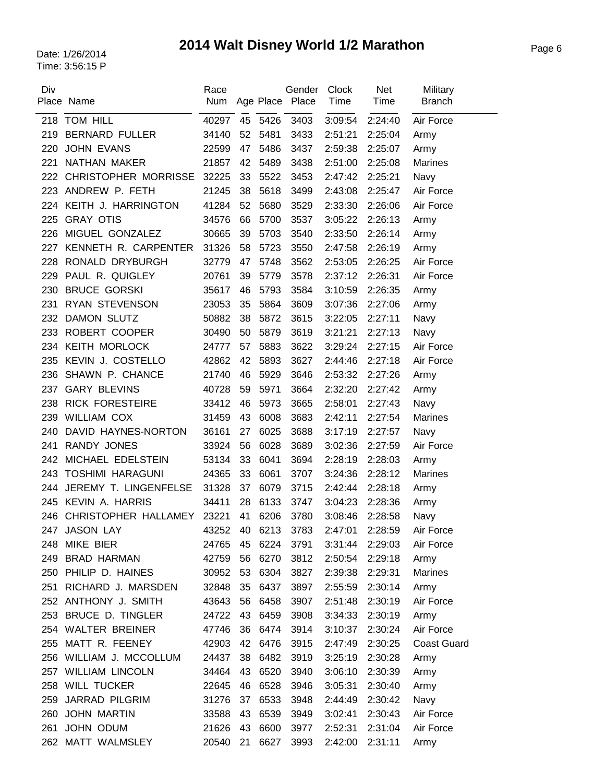# Page 6 Date: 1/26/2014 **2014 Walt Disney World 1/2 Marathon**

| Div | Place Name                     | Race<br>Num |    |      | Gender<br>Age Place Place | <b>Clock</b><br>Time | Net<br>Time | Military<br><b>Branch</b> |
|-----|--------------------------------|-------------|----|------|---------------------------|----------------------|-------------|---------------------------|
| 218 | <b>TOM HILL</b>                | 40297       | 45 | 5426 | 3403                      | 3:09:54              | 2:24:40     | Air Force                 |
| 219 | <b>BERNARD FULLER</b>          | 34140       | 52 | 5481 | 3433                      | 2:51:21              | 2:25:04     | Army                      |
| 220 | <b>JOHN EVANS</b>              | 22599       | 47 | 5486 | 3437                      | 2:59:38              | 2:25:07     | Army                      |
| 221 | NATHAN MAKER                   | 21857       | 42 | 5489 | 3438                      | 2:51:00              | 2:25:08     | <b>Marines</b>            |
|     | 222 CHRISTOPHER MORRISSE       | 32225       | 33 | 5522 | 3453                      | 2:47:42              | 2:25:21     | Navy                      |
| 223 | ANDREW P. FETH                 | 21245       | 38 | 5618 | 3499                      | 2:43:08              | 2:25:47     | Air Force                 |
| 224 | KEITH J. HARRINGTON            | 41284       | 52 | 5680 | 3529                      | 2:33:30              | 2:26:06     | Air Force                 |
| 225 | <b>GRAY OTIS</b>               | 34576       | 66 | 5700 | 3537                      | 3:05:22              | 2:26:13     | Army                      |
| 226 | MIGUEL GONZALEZ                | 30665       | 39 | 5703 | 3540                      | 2:33:50              | 2:26:14     | Army                      |
| 227 | KENNETH R. CARPENTER           | 31326       | 58 | 5723 | 3550                      | 2:47:58              | 2:26:19     | Army                      |
| 228 | RONALD DRYBURGH                | 32779       | 47 | 5748 | 3562                      | 2:53:05              | 2:26:25     | Air Force                 |
| 229 | PAUL R. QUIGLEY                | 20761       | 39 | 5779 | 3578                      | 2:37:12              | 2:26:31     | Air Force                 |
| 230 | <b>BRUCE GORSKI</b>            | 35617       | 46 | 5793 | 3584                      | 3:10:59              | 2:26:35     | Army                      |
| 231 | RYAN STEVENSON                 | 23053       | 35 | 5864 | 3609                      | 3:07:36              | 2:27:06     | Army                      |
| 232 | <b>DAMON SLUTZ</b>             | 50882       | 38 | 5872 | 3615                      | 3:22:05              | 2:27:11     | Navy                      |
| 233 | ROBERT COOPER                  | 30490       | 50 | 5879 | 3619                      | 3:21:21              | 2:27:13     | Navy                      |
| 234 | <b>KEITH MORLOCK</b>           | 24777       | 57 | 5883 | 3622                      | 3:29:24              | 2:27:15     | Air Force                 |
| 235 | KEVIN J. COSTELLO              | 42862       | 42 | 5893 | 3627                      | 2:44:46              | 2:27:18     | Air Force                 |
| 236 | SHAWN P. CHANCE                | 21740       | 46 | 5929 | 3646                      | 2:53:32              | 2:27:26     | Army                      |
| 237 | <b>GARY BLEVINS</b>            | 40728       | 59 | 5971 | 3664                      | 2:32:20              | 2:27:42     | Army                      |
| 238 | <b>RICK FORESTEIRE</b>         | 33412       | 46 | 5973 | 3665                      | 2:58:01              | 2:27:43     | Navy                      |
| 239 | <b>WILLIAM COX</b>             | 31459       | 43 | 6008 | 3683                      | 2:42:11              | 2:27:54     | <b>Marines</b>            |
| 240 | DAVID HAYNES-NORTON            | 36161       | 27 | 6025 | 3688                      | 3:17:19              | 2:27:57     | Navy                      |
| 241 | RANDY JONES                    | 33924       | 56 | 6028 | 3689                      | 3:02:36              | 2:27:59     | Air Force                 |
| 242 | MICHAEL EDELSTEIN              | 53134       | 33 | 6041 | 3694                      | 2:28:19              | 2:28:03     | Army                      |
| 243 | <b>TOSHIMI HARAGUNI</b>        | 24365       | 33 | 6061 | 3707                      | 3:24:36              | 2:28:12     | <b>Marines</b>            |
| 244 | JEREMY T. LINGENFELSE          | 31328       | 37 | 6079 | 3715                      | 2:42:44              | 2:28:18     | Army                      |
| 245 | KEVIN A. HARRIS                | 34411       | 28 | 6133 | 3747                      | 3:04:23              | 2:28:36     | Army                      |
|     | 246 CHRISTOPHER HALLAMEY 23221 |             | 41 | 6206 | 3780                      | 3:08:46              | 2:28:58     | Navy                      |
| 247 | <b>JASON LAY</b>               | 43252       | 40 | 6213 | 3783                      | 2:47:01              | 2:28:59     | Air Force                 |
|     | 248 MIKE BIER                  | 24765       | 45 | 6224 | 3791                      | 3:31:44              | 2:29:03     | Air Force                 |
| 249 | <b>BRAD HARMAN</b>             | 42759       | 56 | 6270 | 3812                      | 2:50:54              | 2:29:18     | Army                      |
| 250 | PHILIP D. HAINES               | 30952       | 53 | 6304 | 3827                      | 2:39:38              | 2:29:31     | Marines                   |
| 251 | RICHARD J. MARSDEN             | 32848       | 35 | 6437 | 3897                      | 2:55:59              | 2:30:14     | Army                      |
|     | 252 ANTHONY J. SMITH           | 43643       | 56 | 6458 | 3907                      | 2:51:48              | 2:30:19     | Air Force                 |
|     | 253 BRUCE D. TINGLER           | 24722       | 43 | 6459 | 3908                      | 3:34:33              | 2:30:19     | Army                      |
|     | 254 WALTER BREINER             | 47746       | 36 | 6474 | 3914                      | 3:10:37              | 2:30:24     | Air Force                 |
|     | 255 MATT R. FEENEY             | 42903       | 42 | 6476 | 3915                      | 2:47:49              | 2:30:25     | <b>Coast Guard</b>        |
|     | 256 WILLIAM J. MCCOLLUM        | 24437       | 38 | 6482 | 3919                      | 3:25:19              | 2:30:28     | Army                      |
|     | 257 WILLIAM LINCOLN            | 34464       | 43 | 6520 | 3940                      | 3:06:10              | 2:30:39     | Army                      |
|     | 258 WILL TUCKER                | 22645       | 46 | 6528 | 3946                      | 3:05:31              | 2:30:40     | Army                      |
| 259 | <b>JARRAD PILGRIM</b>          | 31276       | 37 | 6533 | 3948                      | 2:44:49              | 2:30:42     | Navy                      |
| 260 | <b>JOHN MARTIN</b>             | 33588       | 43 | 6539 | 3949                      | 3:02:41              | 2:30:43     | Air Force                 |
| 261 | JOHN ODUM                      | 21626       | 43 | 6600 | 3977                      | 2:52:31              | 2:31:04     | Air Force                 |
| 262 | MATT WALMSLEY                  | 20540       | 21 | 6627 | 3993                      | 2:42:00              | 2:31:11     | Army                      |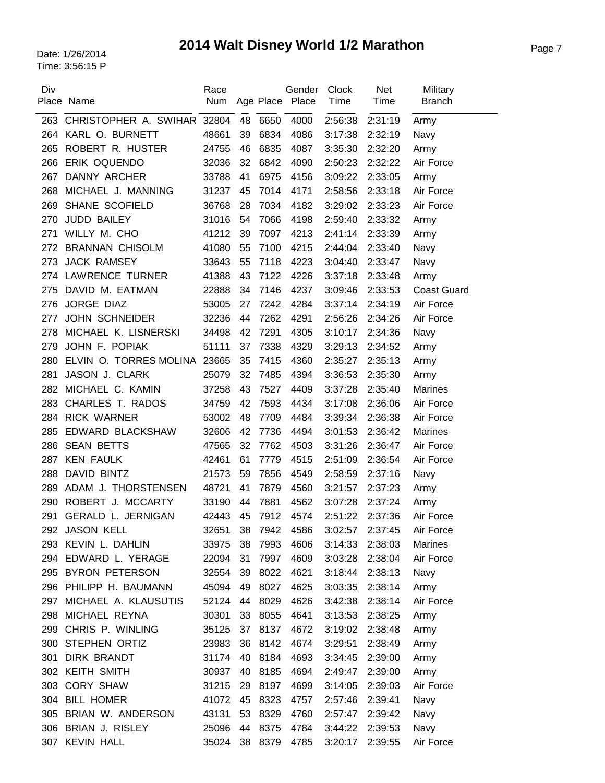### Page 7 Date: 1/26/2014 **2014 Walt Disney World 1/2 Marathon**

| Div | Place Name                   | Race<br>Num |    |      | Gender<br>Age Place Place | Clock<br>Time | <b>Net</b><br>Time | Military<br><b>Branch</b> |
|-----|------------------------------|-------------|----|------|---------------------------|---------------|--------------------|---------------------------|
| 263 | CHRISTOPHER A. SWIHAR 32804  |             | 48 | 6650 | 4000                      | 2:56:38       | 2:31:19            | Army                      |
|     | 264 KARL O. BURNETT          | 48661       | 39 | 6834 | 4086                      | 3:17:38       | 2:32:19            | Navy                      |
| 265 | ROBERT R. HUSTER             | 24755       | 46 | 6835 | 4087                      | 3:35:30       | 2:32:20            | Army                      |
| 266 | ERIK OQUENDO                 | 32036       | 32 | 6842 | 4090                      | 2:50:23       | 2:32:22            | Air Force                 |
| 267 | DANNY ARCHER                 | 33788       | 41 | 6975 | 4156                      | 3:09:22       | 2:33:05            | Army                      |
| 268 | MICHAEL J. MANNING           | 31237       | 45 | 7014 | 4171                      | 2:58:56       | 2:33:18            | Air Force                 |
| 269 | SHANE SCOFIELD               | 36768       | 28 | 7034 | 4182                      | 3:29:02       | 2:33:23            | Air Force                 |
| 270 | <b>JUDD BAILEY</b>           | 31016       | 54 | 7066 | 4198                      | 2:59:40       | 2:33:32            | Army                      |
| 271 | WILLY M. CHO                 | 41212       | 39 | 7097 | 4213                      | 2:41:14       | 2:33:39            | Army                      |
| 272 | <b>BRANNAN CHISOLM</b>       | 41080       | 55 | 7100 | 4215                      | 2:44:04       | 2:33:40            | Navy                      |
| 273 | <b>JACK RAMSEY</b>           | 33643       | 55 | 7118 | 4223                      | 3:04:40       | 2:33:47            | Navy                      |
|     | 274 LAWRENCE TURNER          | 41388       | 43 | 7122 | 4226                      | 3:37:18       | 2:33:48            | Army                      |
| 275 | DAVID M. EATMAN              | 22888       | 34 | 7146 | 4237                      | 3:09:46       | 2:33:53            | <b>Coast Guard</b>        |
| 276 | JORGE DIAZ                   | 53005       | 27 | 7242 | 4284                      | 3:37:14       | 2:34:19            | Air Force                 |
| 277 | <b>JOHN SCHNEIDER</b>        | 32236       | 44 | 7262 | 4291                      | 2:56:26       | 2:34:26            | Air Force                 |
| 278 | MICHAEL K. LISNERSKI         | 34498       | 42 | 7291 | 4305                      | 3:10:17       | 2:34:36            | Navy                      |
| 279 | JOHN F. POPIAK               | 51111       | 37 | 7338 | 4329                      | 3:29:13       | 2:34:52            | Army                      |
| 280 | ELVIN O. TORRES MOLINA 23665 |             | 35 | 7415 | 4360                      | 2:35:27       | 2:35:13            | Army                      |
| 281 | JASON J. CLARK               | 25079       | 32 | 7485 | 4394                      | 3:36:53       | 2:35:30            | Army                      |
| 282 | MICHAEL C. KAMIN             | 37258       | 43 | 7527 | 4409                      | 3:37:28       | 2:35:40            | <b>Marines</b>            |
| 283 | CHARLES T. RADOS             | 34759       | 42 | 7593 | 4434                      | 3:17:08       | 2:36:06            | Air Force                 |
| 284 | <b>RICK WARNER</b>           | 53002       | 48 | 7709 | 4484                      | 3:39:34       | 2:36:38            | Air Force                 |
| 285 | EDWARD BLACKSHAW             | 32606       | 42 | 7736 | 4494                      | 3:01:53       | 2:36:42            | <b>Marines</b>            |
| 286 | <b>SEAN BETTS</b>            | 47565       | 32 | 7762 | 4503                      | 3:31:26       | 2:36:47            | Air Force                 |
| 287 | <b>KEN FAULK</b>             | 42461       | 61 | 7779 | 4515                      | 2:51:09       | 2:36:54            | Air Force                 |
| 288 | <b>DAVID BINTZ</b>           | 21573       | 59 | 7856 | 4549                      | 2:58:59       | 2:37:16            | Navy                      |
| 289 | ADAM J. THORSTENSEN          | 48721       | 41 | 7879 | 4560                      | 3:21:57       | 2:37:23            | Army                      |
| 290 | ROBERT J. MCCARTY            | 33190       | 44 | 7881 | 4562                      | 3:07:28       | 2:37:24            | Army                      |
| 291 | <b>GERALD L. JERNIGAN</b>    | 42443       | 45 | 7912 | 4574                      | 2:51:22       | 2:37:36            | Air Force                 |
|     | 292 JASON KELL               | 32651       | 38 | 7942 | 4586                      | 3:02:57       | 2:37:45            | Air Force                 |
|     | 293 KEVIN L. DAHLIN          | 33975       | 38 | 7993 | 4606                      | 3:14:33       | 2:38:03            | <b>Marines</b>            |
|     | 294 EDWARD L. YERAGE         | 22094       | 31 | 7997 | 4609                      | 3:03:28       | 2:38:04            | Air Force                 |
|     | 295 BYRON PETERSON           | 32554       | 39 | 8022 | 4621                      | 3:18:44       | 2:38:13            | Navy                      |
|     | 296 PHILIPP H. BAUMANN       | 45094       | 49 | 8027 | 4625                      | 3:03:35       | 2:38:14            | Army                      |
| 297 | MICHAEL A. KLAUSUTIS         | 52124       | 44 | 8029 | 4626                      | 3:42:38       | 2:38:14            | Air Force                 |
|     | 298 MICHAEL REYNA            | 30301       | 33 | 8055 | 4641                      | 3:13:53       | 2:38:25            | Army                      |
| 299 | CHRIS P. WINLING             | 35125       | 37 | 8137 | 4672                      | 3:19:02       | 2:38:48            | Army                      |
|     | 300 STEPHEN ORTIZ            | 23983       | 36 | 8142 | 4674                      | 3:29:51       | 2:38:49            | Army                      |
|     | 301 DIRK BRANDT              | 31174       | 40 | 8184 | 4693                      | 3:34:45       | 2:39:00            | Army                      |
|     | 302 KEITH SMITH              | 30937       | 40 | 8185 | 4694                      | 2:49:47       | 2:39:00            | Army                      |
|     | 303 CORY SHAW                | 31215       | 29 | 8197 | 4699                      | 3:14:05       | 2:39:03            | Air Force                 |
|     | 304 BILL HOMER               | 41072       | 45 | 8323 | 4757                      | 2:57:46       | 2:39:41            | Navy                      |
|     | 305 BRIAN W. ANDERSON        | 43131       | 53 | 8329 | 4760                      | 2:57:47       | 2:39:42            | Navy                      |
|     | 306 BRIAN J. RISLEY          | 25096       | 44 | 8375 | 4784                      | 3:44:22       | 2:39:53            | Navy                      |
|     | 307 KEVIN HALL               | 35024       | 38 | 8379 | 4785                      | 3:20:17       | 2:39:55            | Air Force                 |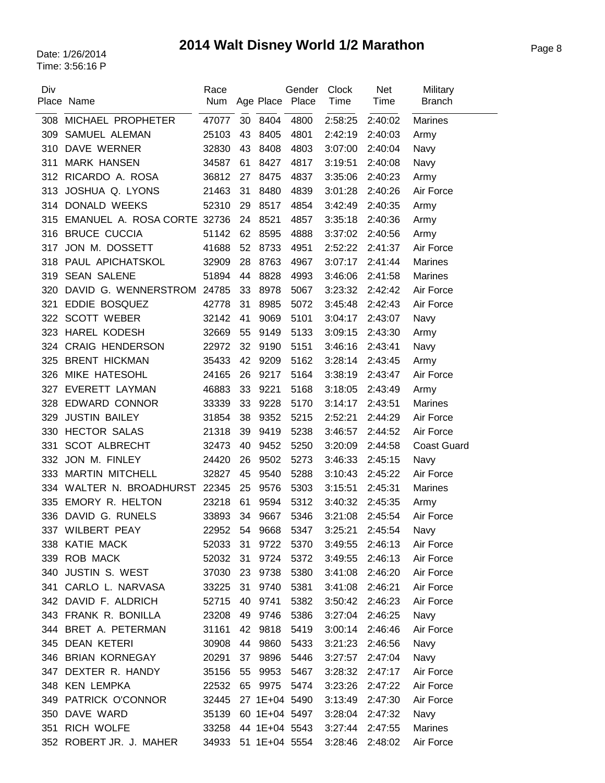# Page 8 Date: 1/26/2014 **2014 Walt Disney World 1/2 Marathon**

| Div | Place Name                  | Race<br>Num         |    |      | Gender<br>Age Place Place | Clock<br>Time   | <b>Net</b><br>Time | Military<br><b>Branch</b> |
|-----|-----------------------------|---------------------|----|------|---------------------------|-----------------|--------------------|---------------------------|
| 308 | MICHAEL PROPHETER           | 47077               | 30 | 8404 | 4800                      | 2:58:25         | 2:40:02            | Marines                   |
| 309 | SAMUEL ALEMAN               | 25103               | 43 | 8405 | 4801                      | 2:42:19         | 2:40:03            | Army                      |
| 310 | DAVE WERNER                 | 32830               | 43 | 8408 | 4803                      | 3:07:00         | 2:40:04            | Navy                      |
| 311 | <b>MARK HANSEN</b>          | 34587               | 61 | 8427 | 4817                      | 3:19:51         | 2:40:08            | Navy                      |
| 312 | RICARDO A. ROSA             | 36812               | 27 | 8475 | 4837                      | 3:35:06         | 2:40:23            | Army                      |
| 313 | JOSHUA Q. LYONS             | 21463               | 31 | 8480 | 4839                      | 3:01:28         | 2:40:26            | Air Force                 |
| 314 | <b>DONALD WEEKS</b>         | 52310               | 29 | 8517 | 4854                      | 3:42:49         | 2:40:35            | Army                      |
| 315 | EMANUEL A. ROSA CORTE 32736 |                     | 24 | 8521 | 4857                      | 3:35:18         | 2:40:36            | Army                      |
| 316 | <b>BRUCE CUCCIA</b>         | 51142               | 62 | 8595 | 4888                      | 3:37:02         | 2:40:56            | Army                      |
| 317 | JON M. DOSSETT              | 41688               | 52 | 8733 | 4951                      | 2:52:22         | 2:41:37            | Air Force                 |
| 318 | PAUL APICHATSKOL            | 32909               | 28 | 8763 | 4967                      | 3:07:17         | 2:41:44            | <b>Marines</b>            |
| 319 | <b>SEAN SALENE</b>          | 51894               | 44 | 8828 | 4993                      | 3:46:06         | 2:41:58            | <b>Marines</b>            |
| 320 | DAVID G. WENNERSTROM        | 24785               | 33 | 8978 | 5067                      | 3:23:32         | 2:42:42            | Air Force                 |
| 321 | EDDIE BOSQUEZ               | 42778               | 31 | 8985 | 5072                      | 3:45:48         | 2:42:43            | Air Force                 |
| 322 | <b>SCOTT WEBER</b>          | 32142               | 41 | 9069 | 5101                      | 3:04:17         | 2:43:07            | Navy                      |
| 323 | <b>HAREL KODESH</b>         | 32669               | 55 | 9149 | 5133                      | 3:09:15         | 2:43:30            | Army                      |
| 324 | <b>CRAIG HENDERSON</b>      | 22972               | 32 | 9190 | 5151                      | 3:46:16         | 2:43:41            | Navy                      |
| 325 | <b>BRENT HICKMAN</b>        | 35433               | 42 | 9209 | 5162                      | 3:28:14         | 2:43:45            | Army                      |
| 326 | MIKE HATESOHL               | 24165               | 26 | 9217 | 5164                      | 3:38:19         | 2:43:47            | Air Force                 |
| 327 | <b>EVERETT LAYMAN</b>       | 46883               | 33 | 9221 | 5168                      | 3:18:05         | 2:43:49            | Army                      |
| 328 | <b>EDWARD CONNOR</b>        | 33339               | 33 | 9228 | 5170                      | 3:14:17         | 2:43:51            | <b>Marines</b>            |
| 329 | <b>JUSTIN BAILEY</b>        | 31854               | 38 | 9352 | 5215                      | 2:52:21         | 2:44:29            | Air Force                 |
| 330 | <b>HECTOR SALAS</b>         | 21318               | 39 | 9419 | 5238                      | 3:46:57         | 2:44:52            | Air Force                 |
| 331 | <b>SCOT ALBRECHT</b>        | 32473               | 40 | 9452 | 5250                      | 3:20:09         | 2:44:58            | <b>Coast Guard</b>        |
| 332 | JON M. FINLEY               | 24420               | 26 | 9502 | 5273                      | 3:46:33         | 2:45:15            | Navy                      |
| 333 | <b>MARTIN MITCHELL</b>      | 32827               | 45 | 9540 | 5288                      | 3:10:43         | 2:45:22            | Air Force                 |
| 334 | WALTER N. BROADHURST 22345  |                     | 25 | 9576 | 5303                      | 3:15:51         | 2:45:31            | <b>Marines</b>            |
| 335 | EMORY R. HELTON             | 23218               | 61 | 9594 | 5312                      | 3:40:32         | 2:45:35            | Army                      |
| 336 | DAVID G. RUNELS             | 33893               | 34 | 9667 | 5346                      | 3:21:08         | 2:45:54            | Air Force                 |
|     | 337 WILBERT PEAY            | 22952               | 54 | 9668 | 5347                      | 3:25:21         | 2:45:54            | Navy                      |
|     | 338 KATIE MACK              | 52033               | 31 | 9722 | 5370                      | 3:49:55         | 2:46:13            | Air Force                 |
|     | 339 ROB MACK                | 52032               | 31 | 9724 | 5372                      | 3:49:55         | 2:46:13            | Air Force                 |
|     | 340 JUSTIN S. WEST          | 37030               | 23 | 9738 | 5380                      | 3:41:08         | 2:46:20            | Air Force                 |
|     | 341 CARLO L. NARVASA        | 33225               | 31 | 9740 | 5381                      | 3:41:08 2:46:21 |                    | Air Force                 |
|     | 342 DAVID F. ALDRICH        | 52715               | 40 | 9741 | 5382                      | 3:50:42         | 2:46:23            | Air Force                 |
|     | 343 FRANK R. BONILLA        | 23208               | 49 | 9746 | 5386                      | 3:27:04         | 2:46:25            | Navy                      |
|     | 344 BRET A. PETERMAN        | 31161               | 42 | 9818 | 5419                      | 3:00:14         | 2:46:46            | Air Force                 |
|     | 345 DEAN KETERI             | 30908               | 44 | 9860 | 5433                      | 3:21:23         | 2:46:56            | Navy                      |
|     | 346 BRIAN KORNEGAY          | 20291               | 37 | 9896 | 5446                      | 3:27:57         | 2:47:04            | Navy                      |
|     | 347 DEXTER R. HANDY         | 35156               | 55 | 9953 | 5467                      | 3:28:32         | 2:47:17            | Air Force                 |
|     | 348 KEN LEMPKA              | 22532               | 65 | 9975 | 5474                      | 3:23:26         | 2:47:22            | Air Force                 |
|     | 349 PATRICK O'CONNOR        | 32445               |    |      | 27 1E+04 5490             | 3:13:49         | 2:47:30            | Air Force                 |
|     | 350 DAVE WARD               | 35139               |    |      | 60 1E+04 5497             | 3:28:04         | 2:47:32            | Navy                      |
|     | 351 RICH WOLFE              | 33258 44 1E+04 5543 |    |      |                           | 3:27:44         | 2:47:55            | <b>Marines</b>            |
|     | 352 ROBERT JR. J. MAHER     | 34933               |    |      | 51 1E+04 5554             | 3:28:46         | 2:48:02            | Air Force                 |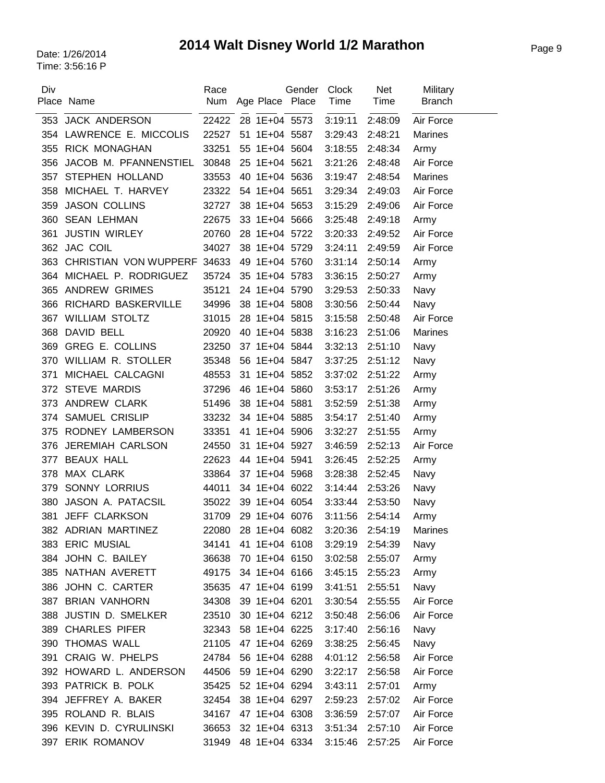### Page 9 Date: 1/26/2014 **2014 Walt Disney World 1/2 Marathon**

| Div | Place Name                | Race<br>Num |    | Age Place     | Gender<br>Place | Clock<br>Time | <b>Net</b><br>Time | Military<br><b>Branch</b> |
|-----|---------------------------|-------------|----|---------------|-----------------|---------------|--------------------|---------------------------|
| 353 | <b>JACK ANDERSON</b>      | 22422       |    | 28 1E+04 5573 |                 | 3:19:11       | 2:48:09            | Air Force                 |
| 354 | LAWRENCE E. MICCOLIS      | 22527       |    | 51 1E+04 5587 |                 | 3:29:43       | 2:48:21            | <b>Marines</b>            |
| 355 | <b>RICK MONAGHAN</b>      | 33251       |    | 55 1E+04 5604 |                 | 3:18:55       | 2:48:34            | Army                      |
| 356 | JACOB M. PFANNENSTIEL     | 30848       |    | 25 1E+04 5621 |                 | 3:21:26       | 2:48:48            | Air Force                 |
| 357 | <b>STEPHEN HOLLAND</b>    | 33553       |    | 40 1E+04 5636 |                 | 3:19:47       | 2:48:54            | <b>Marines</b>            |
| 358 | MICHAEL T. HARVEY         | 23322       |    | 54 1E+04 5651 |                 | 3:29:34       | 2:49:03            | Air Force                 |
| 359 | <b>JASON COLLINS</b>      | 32727       |    | 38 1E+04 5653 |                 | 3:15:29       | 2:49:06            | Air Force                 |
| 360 | <b>SEAN LEHMAN</b>        | 22675       |    | 33 1E+04 5666 |                 | 3:25:48       | 2:49:18            | Army                      |
| 361 | <b>JUSTIN WIRLEY</b>      | 20760       |    | 28 1E+04 5722 |                 | 3:20:33       | 2:49:52            | Air Force                 |
| 362 | JAC COIL                  | 34027       |    | 38 1E+04 5729 |                 | 3:24:11       | 2:49:59            | Air Force                 |
| 363 | CHRISTIAN VON WUPPERF     | 34633       |    | 49 1E+04 5760 |                 | 3:31:14       | 2:50:14            | Army                      |
| 364 | MICHAEL P. RODRIGUEZ      | 35724       |    | 35 1E+04 5783 |                 | 3:36:15       | 2:50:27            | Army                      |
| 365 | <b>ANDREW GRIMES</b>      | 35121       |    | 24 1E+04 5790 |                 | 3:29:53       | 2:50:33            | Navy                      |
| 366 | RICHARD BASKERVILLE       | 34996       |    | 38 1E+04 5808 |                 | 3:30:56       | 2:50:44            | Navy                      |
| 367 | <b>WILLIAM STOLTZ</b>     | 31015       |    | 28 1E+04 5815 |                 | 3:15:58       | 2:50:48            | Air Force                 |
| 368 | DAVID BELL                | 20920       |    | 40 1E+04 5838 |                 | 3:16:23       | 2:51:06            | <b>Marines</b>            |
| 369 | <b>GREG E. COLLINS</b>    | 23250       |    | 37 1E+04 5844 |                 | 3:32:13       | 2:51:10            | Navy                      |
| 370 | <b>WILLIAM R. STOLLER</b> | 35348       |    | 56 1E+04 5847 |                 | 3:37:25       | 2:51:12            | Navy                      |
| 371 | MICHAEL CALCAGNI          | 48553       |    | 31 1E+04 5852 |                 | 3:37:02       | 2:51:22            | Army                      |
| 372 | <b>STEVE MARDIS</b>       | 37296       |    | 46 1E+04 5860 |                 | 3:53:17       | 2:51:26            | Army                      |
| 373 | ANDREW CLARK              | 51496       |    | 38 1E+04 5881 |                 | 3:52:59       | 2:51:38            | Army                      |
| 374 | <b>SAMUEL CRISLIP</b>     | 33232       |    | 34 1E+04 5885 |                 | 3:54:17       | 2:51:40            | Army                      |
| 375 | RODNEY LAMBERSON          | 33351       |    | 41 1E+04 5906 |                 | 3:32:27       | 2:51:55            | Army                      |
| 376 | <b>JEREMIAH CARLSON</b>   | 24550       | 31 | 1E+04 5927    |                 | 3:46:59       | 2:52:13            | Air Force                 |
| 377 | <b>BEAUX HALL</b>         | 22623       |    | 44 1E+04 5941 |                 | 3:26:45       | 2:52:25            | Army                      |
| 378 | MAX CLARK                 | 33864       |    | 37 1E+04 5968 |                 | 3:28:38       | 2:52:45            | Navy                      |
| 379 | <b>SONNY LORRIUS</b>      | 44011       |    | 34 1E+04 6022 |                 | 3:14:44       | 2:53:26            | Navy                      |
| 380 | JASON A. PATACSIL         | 35022       |    | 39 1E+04 6054 |                 | 3:33:44       | 2:53:50            | Navy                      |
| 381 | JEFF CLARKSON             | 31709       |    | 29 1E+04 6076 |                 | 3:11:56       | 2:54:14            | Army                      |
|     | 382 ADRIAN MARTINEZ       | 22080       |    | 28 1E+04 6082 |                 | 3:20:36       | 2:54:19            | <b>Marines</b>            |
|     | 383 ERIC MUSIAL           | 34141       |    | 41 1E+04 6108 |                 | 3:29:19       | 2:54:39            | Navy                      |
|     | 384 JOHN C. BAILEY        | 36638       |    | 70 1E+04 6150 |                 | 3:02:58       | 2:55:07            | Army                      |
|     | 385 NATHAN AVERETT        | 49175       |    | 34 1E+04 6166 |                 | 3:45:15       | 2:55:23            | Army                      |
|     | 386 JOHN C. CARTER        | 35635       |    | 47 1E+04 6199 |                 | 3:41:51       | 2:55:51            | Navy                      |
| 387 | <b>BRIAN VANHORN</b>      | 34308       |    | 39 1E+04 6201 |                 | 3:30:54       | 2:55:55            | Air Force                 |
|     | 388 JUSTIN D. SMELKER     | 23510       |    | 30 1E+04 6212 |                 | 3:50:48       | 2:56:06            | Air Force                 |
|     | 389 CHARLES PIFER         | 32343       |    | 58 1E+04 6225 |                 | 3:17:40       | 2:56:16            | Navy                      |
|     | 390 THOMAS WALL           | 21105       |    | 47 1E+04 6269 |                 | 3:38:25       | 2:56:45            | Navy                      |
|     | 391 CRAIG W. PHELPS       | 24784       |    | 56 1E+04 6288 |                 | 4:01:12       | 2:56:58            | Air Force                 |
|     | 392 HOWARD L. ANDERSON    | 44506       |    | 59 1E+04 6290 |                 | 3:22:17       | 2:56:58            | Air Force                 |
|     | 393 PATRICK B. POLK       | 35425       |    | 52 1E+04 6294 |                 | 3:43:11       | 2:57:01            | Army                      |
|     | 394 JEFFREY A. BAKER      | 32454       |    | 38 1E+04 6297 |                 | 2:59:23       | 2:57:02            | Air Force                 |
|     | 395 ROLAND R. BLAIS       | 34167       |    | 47 1E+04 6308 |                 | 3:36:59       | 2:57:07            | Air Force                 |
|     | 396 KEVIN D. CYRULINSKI   | 36653       |    | 32 1E+04 6313 |                 | 3:51:34       | 2:57:10            | Air Force                 |
|     | 397 ERIK ROMANOV          | 31949       |    | 48 1E+04 6334 |                 | 3:15:46       | 2:57:25            | Air Force                 |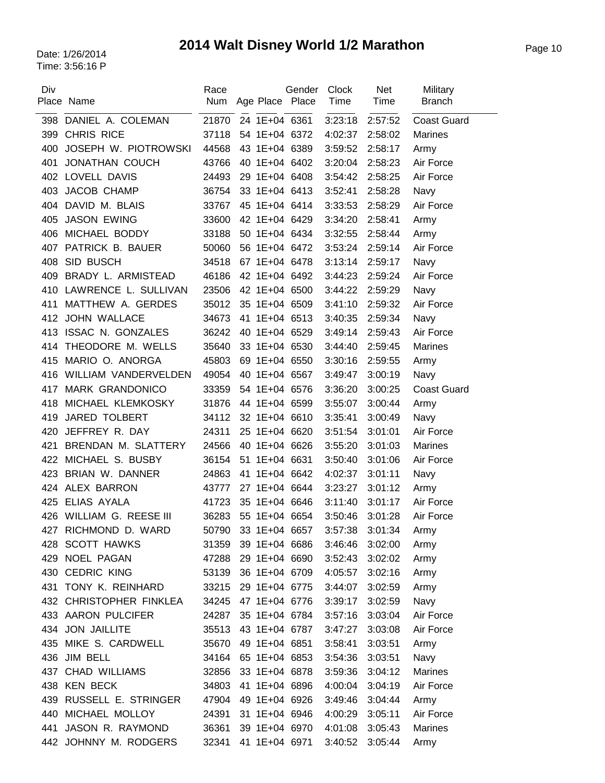# Page 10 Date: 1/26/2014 **2014 Walt Disney World 1/2 Marathon**

| Div | Place Name               | Race<br>Num |    | Age Place     | Gender<br>Place | <b>Clock</b><br>Time | <b>Net</b><br>Time | Military<br><b>Branch</b> |
|-----|--------------------------|-------------|----|---------------|-----------------|----------------------|--------------------|---------------------------|
| 398 | DANIEL A. COLEMAN        | 21870       |    | 24 1E+04 6361 |                 | 3:23:18              | 2:57:52            | <b>Coast Guard</b>        |
| 399 | <b>CHRIS RICE</b>        | 37118       |    | 54 1E+04 6372 |                 | 4:02:37              | 2:58:02            | <b>Marines</b>            |
| 400 | JOSEPH W. PIOTROWSKI     | 44568       |    | 43 1E+04 6389 |                 | 3:59:52              | 2:58:17            | Army                      |
| 401 | <b>JONATHAN COUCH</b>    | 43766       |    | 40 1E+04 6402 |                 | 3:20:04              | 2:58:23            | Air Force                 |
|     | 402 LOVELL DAVIS         | 24493       |    | 29 1E+04 6408 |                 | 3:54:42              | 2:58:25            | Air Force                 |
| 403 | JACOB CHAMP              | 36754       |    | 33 1E+04 6413 |                 | 3:52:41              | 2:58:28            | Navy                      |
| 404 | DAVID M. BLAIS           | 33767       |    | 45 1E+04 6414 |                 | 3:33:53              | 2:58:29            | Air Force                 |
| 405 | <b>JASON EWING</b>       | 33600       |    | 42 1E+04 6429 |                 | 3:34:20              | 2:58:41            | Army                      |
| 406 | MICHAEL BODDY            | 33188       |    | 50 1E+04 6434 |                 | 3:32:55              | 2:58:44            | Army                      |
| 407 | PATRICK B. BAUER         | 50060       |    | 56 1E+04 6472 |                 | 3:53:24              | 2:59:14            | Air Force                 |
| 408 | SID BUSCH                | 34518       |    | 67 1E+04 6478 |                 | 3:13:14              | 2:59:17            | Navy                      |
| 409 | BRADY L. ARMISTEAD       | 46186       |    | 42 1E+04 6492 |                 | 3:44:23              | 2:59:24            | Air Force                 |
| 410 | LAWRENCE L. SULLIVAN     | 23506       |    | 42 1E+04 6500 |                 | 3:44:22              | 2:59:29            | Navy                      |
| 411 | MATTHEW A. GERDES        | 35012       |    | 35 1E+04 6509 |                 | 3:41:10              | 2:59:32            | Air Force                 |
| 412 | <b>JOHN WALLACE</b>      | 34673       |    | 41 1E+04 6513 |                 | 3:40:35              | 2:59:34            | Navy                      |
| 413 | <b>ISSAC N. GONZALES</b> | 36242       |    | 40 1E+04 6529 |                 | 3:49:14              | 2:59:43            | Air Force                 |
| 414 | THEODORE M. WELLS        | 35640       |    | 33 1E+04 6530 |                 | 3:44:40              | 2:59:45            | <b>Marines</b>            |
| 415 | MARIO O. ANORGA          | 45803       |    | 69 1E+04 6550 |                 | 3:30:16              | 2:59:55            | Army                      |
| 416 | WILLIAM VANDERVELDEN     | 49054       |    | 40 1E+04 6567 |                 | 3:49:47              | 3:00:19            | Navy                      |
| 417 | <b>MARK GRANDONICO</b>   | 33359       |    | 54 1E+04 6576 |                 | 3:36:20              | 3:00:25            | <b>Coast Guard</b>        |
| 418 | MICHAEL KLEMKOSKY        | 31876       |    | 44 1E+04 6599 |                 | 3:55:07              | 3:00:44            | Army                      |
| 419 | <b>JARED TOLBERT</b>     | 34112       |    | 32 1E+04 6610 |                 | 3:35:41              | 3:00:49            | Navy                      |
| 420 | JEFFREY R. DAY           | 24311       |    | 25 1E+04      | 6620            | 3:51:54              | 3:01:01            | Air Force                 |
| 421 | BRENDAN M. SLATTERY      | 24566       |    | 40 1E+04      | 6626            | 3:55:20              | 3:01:03            | <b>Marines</b>            |
| 422 | MICHAEL S. BUSBY         | 36154       |    | 51 1E+04 6631 |                 | 3:50:40              | 3:01:06            | Air Force                 |
| 423 | BRIAN W. DANNER          | 24863       | 41 | 1E+04 6642    |                 | 4:02:37              | 3:01:11            | Navy                      |
| 424 | ALEX BARRON              | 43777       |    | 27 1E+04 6644 |                 | 3:23:27              | 3:01:12            | Army                      |
| 425 | <b>ELIAS AYALA</b>       | 41723       |    | 35 1E+04      | 6646            | 3:11:40              | 3:01:17            | Air Force                 |
|     | 426 WILLIAM G. REESE III | 36283       |    | 55 1E+04 6654 |                 | 3:50:46              | 3:01:28            | Air Force                 |
| 427 | RICHMOND D. WARD         | 50790       |    | 33 1E+04 6657 |                 | 3:57:38              | 3:01:34            | Army                      |
|     | 428 SCOTT HAWKS          | 31359       |    | 39 1E+04 6686 |                 | 3:46:46              | 3:02:00            | Army                      |
|     | 429 NOEL PAGAN           | 47288       |    | 29 1E+04 6690 |                 | 3:52:43              | 3:02:02            | Army                      |
|     | 430 CEDRIC KING          | 53139       |    | 36 1E+04 6709 |                 | 4:05:57              | 3:02:16            | Army                      |
| 431 | TONY K. REINHARD         | 33215       |    | 29 1E+04 6775 |                 | 3:44:07              | 3:02:59            | Army                      |
|     | 432 CHRISTOPHER FINKLEA  | 34245       |    | 47 1E+04 6776 |                 | 3:39:17              | 3:02:59            | Navy                      |
|     | 433 AARON PULCIFER       | 24287       |    | 35 1E+04 6784 |                 | 3:57:16              | 3:03:04            | Air Force                 |
|     | 434 JON JAILLITE         | 35513       |    | 43 1E+04 6787 |                 | 3:47:27              | 3:03:08            | Air Force                 |
|     | 435 MIKE S. CARDWELL     | 35670       |    | 49 1E+04 6851 |                 | 3:58:41              | 3:03:51            | Army                      |
|     | 436 JIM BELL             | 34164       |    | 65 1E+04 6853 |                 | 3:54:36              | 3:03:51            | Navy                      |
| 437 | <b>CHAD WILLIAMS</b>     | 32856       |    | 33 1E+04 6878 |                 | 3:59:36              | 3:04:12            | <b>Marines</b>            |
|     | 438 KEN BECK             | 34803       |    | 41 1E+04 6896 |                 | 4:00:04              | 3:04:19            | Air Force                 |
| 439 | RUSSELL E. STRINGER      | 47904       |    | 49 1E+04 6926 |                 | 3:49:46              | 3:04:44            | Army                      |
| 440 | MICHAEL MOLLOY           | 24391       |    | 31 1E+04 6946 |                 | 4:00:29              | 3:05:11            | Air Force                 |
| 441 | JASON R. RAYMOND         | 36361       |    | 39 1E+04 6970 |                 | 4:01:08              | 3:05:43            | Marines                   |
| 442 | JOHNNY M. RODGERS        | 32341       |    | 41 1E+04 6971 |                 | 3:40:52              | 3:05:44            | Army                      |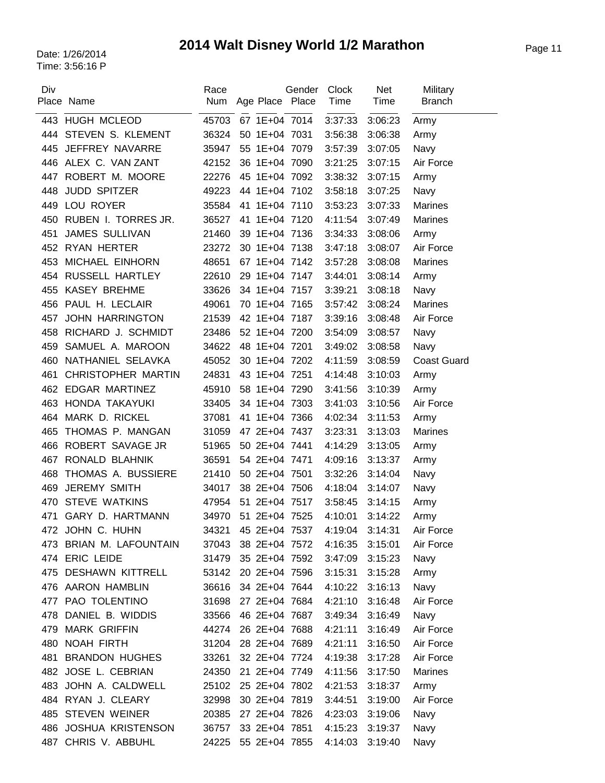# Page 11 Date: 1/26/2014 **2014 Walt Disney World 1/2 Marathon**

| Div | Place Name                | Race<br>Num | Age Place Place | Gender | Clock<br>Time | Net<br>Time | Military<br><b>Branch</b> |
|-----|---------------------------|-------------|-----------------|--------|---------------|-------------|---------------------------|
| 443 | <b>HUGH MCLEOD</b>        | 45703       | 67 1E+04 7014   |        | 3:37:33       | 3:06:23     | Army                      |
| 444 | STEVEN S. KLEMENT         | 36324       | 50 1E+04 7031   |        | 3:56:38       | 3:06:38     | Army                      |
| 445 | JEFFREY NAVARRE           | 35947       | 55 1E+04 7079   |        | 3:57:39       | 3:07:05     | Navy                      |
| 446 | ALEX C. VAN ZANT          | 42152       | 36 1E+04 7090   |        | 3:21:25       | 3:07:15     | Air Force                 |
| 447 | ROBERT M. MOORE           | 22276       | 45 1E+04 7092   |        | 3:38:32       | 3:07:15     | Army                      |
| 448 | <b>JUDD SPITZER</b>       | 49223       | 44 1E+04 7102   |        | 3:58:18       | 3:07:25     | Navy                      |
| 449 | LOU ROYER                 | 35584       | 41 1E+04 7110   |        | 3:53:23       | 3:07:33     | <b>Marines</b>            |
| 450 | RUBEN I. TORRES JR.       | 36527       | 41 1E+04 7120   |        | 4:11:54       | 3:07:49     | <b>Marines</b>            |
| 451 | <b>JAMES SULLIVAN</b>     | 21460       | 39 1E+04 7136   |        | 3:34:33       | 3:08:06     | Army                      |
| 452 | RYAN HERTER               | 23272       | 30 1E+04 7138   |        | 3:47:18       | 3:08:07     | Air Force                 |
| 453 | MICHAEL EINHORN           | 48651       | 67 1E+04 7142   |        | 3:57:28       | 3:08:08     | <b>Marines</b>            |
| 454 | RUSSELL HARTLEY           | 22610       | 29 1E+04 7147   |        | 3:44:01       | 3:08:14     | Army                      |
| 455 | <b>KASEY BREHME</b>       | 33626       | 34 1E+04 7157   |        | 3:39:21       | 3:08:18     | Navy                      |
| 456 | PAUL H. LECLAIR           | 49061       | 70 1E+04 7165   |        | 3:57:42       | 3:08:24     | <b>Marines</b>            |
| 457 | <b>JOHN HARRINGTON</b>    | 21539       | 42 1E+04 7187   |        | 3:39:16       | 3:08:48     | Air Force                 |
| 458 | RICHARD J. SCHMIDT        | 23486       | 52 1E+04 7200   |        | 3:54:09       | 3:08:57     | Navy                      |
| 459 | SAMUEL A. MAROON          | 34622       | 48 1E+04 7201   |        | 3:49:02       | 3:08:58     | Navy                      |
| 460 | NATHANIEL SELAVKA         | 45052       | 30 1E+04 7202   |        | 4:11:59       | 3:08:59     | <b>Coast Guard</b>        |
| 461 | <b>CHRISTOPHER MARTIN</b> | 24831       | 43 1E+04 7251   |        | 4:14:48       | 3:10:03     | Army                      |
| 462 | <b>EDGAR MARTINEZ</b>     | 45910       | 58 1E+04 7290   |        | 3:41:56       | 3:10:39     | Army                      |
| 463 | HONDA TAKAYUKI            | 33405       | 34 1E+04 7303   |        | 3:41:03       | 3:10:56     | Air Force                 |
| 464 | MARK D. RICKEL            | 37081       | 41 1E+04 7366   |        | 4:02:34       | 3:11:53     | Army                      |
| 465 | THOMAS P. MANGAN          | 31059       | 47 2E+04 7437   |        | 3:23:31       | 3:13:03     | <b>Marines</b>            |
| 466 | ROBERT SAVAGE JR          | 51965       | 50 2E+04 7441   |        | 4:14:29       | 3:13:05     | Army                      |
| 467 | RONALD BLAHNIK            | 36591       | 54 2E+04 7471   |        | 4:09:16       | 3:13:37     | Army                      |
| 468 | THOMAS A. BUSSIERE        | 21410       | 50 2E+04 7501   |        | 3:32:26       | 3:14:04     | Navy                      |
| 469 | <b>JEREMY SMITH</b>       | 34017       | 38 2E+04 7506   |        | 4:18:04       | 3:14:07     | Navy                      |
| 470 | <b>STEVE WATKINS</b>      | 47954       | 51 2E+04 7517   |        | 3:58:45       | 3:14:15     | Army                      |
| 471 | GARY D. HARTMANN          | 34970       | 51 2E+04 7525   |        | 4:10:01       | 3:14:22     | Army                      |
|     | 472 JOHN C. HUHN          | 34321       | 45 2E+04 7537   |        | 4:19:04       | 3:14:31     | Air Force                 |
|     | 473 BRIAN M. LAFOUNTAIN   | 37043       | 38 2E+04 7572   |        | 4:16:35       | 3:15:01     | Air Force                 |
|     | 474 ERIC LEIDE            | 31479       | 35 2E+04 7592   |        | 3:47:09       | 3:15:23     | Navy                      |
|     | 475 DESHAWN KITTRELL      | 53142       | 20 2E+04 7596   |        | 3:15:31       | 3:15:28     | Army                      |
|     | 476 AARON HAMBLIN         | 36616       | 34 2E+04 7644   |        | 4:10:22       | 3:16:13     | Navy                      |
|     | 477 PAO TOLENTINO         | 31698       | 27 2E+04 7684   |        | 4:21:10       | 3:16:48     | Air Force                 |
|     | 478 DANIEL B. WIDDIS      | 33566       | 46 2E+04 7687   |        | 3:49:34       | 3:16:49     | Navy                      |
|     | 479 MARK GRIFFIN          | 44274       | 26 2E+04 7688   |        | 4:21:11       | 3:16:49     | Air Force                 |
|     | 480 NOAH FIRTH            | 31204       | 28 2E+04 7689   |        | 4:21:11       | 3:16:50     | Air Force                 |
| 481 | <b>BRANDON HUGHES</b>     | 33261       | 32 2E+04 7724   |        | 4:19:38       | 3:17:28     | Air Force                 |
|     | 482 JOSE L. CEBRIAN       | 24350       | 21 2E+04 7749   |        | 4:11:56       | 3:17:50     | <b>Marines</b>            |
|     | 483 JOHN A. CALDWELL      | 25102       | 25 2E+04 7802   |        | 4:21:53       | 3:18:37     | Army                      |
|     | 484 RYAN J. CLEARY        | 32998       | 30 2E+04 7819   |        | 3:44:51       | 3:19:00     | Air Force                 |
|     | 485 STEVEN WEINER         | 20385       | 27 2E+04 7826   |        | 4:23:03       | 3:19:06     | Navy                      |
|     | 486 JOSHUA KRISTENSON     | 36757       | 33 2E+04 7851   |        | 4:15:23       | 3:19:37     | Navy                      |
| 487 | CHRIS V. ABBUHL           | 24225       | 55 2E+04 7855   |        | 4:14:03       | 3:19:40     | Navy                      |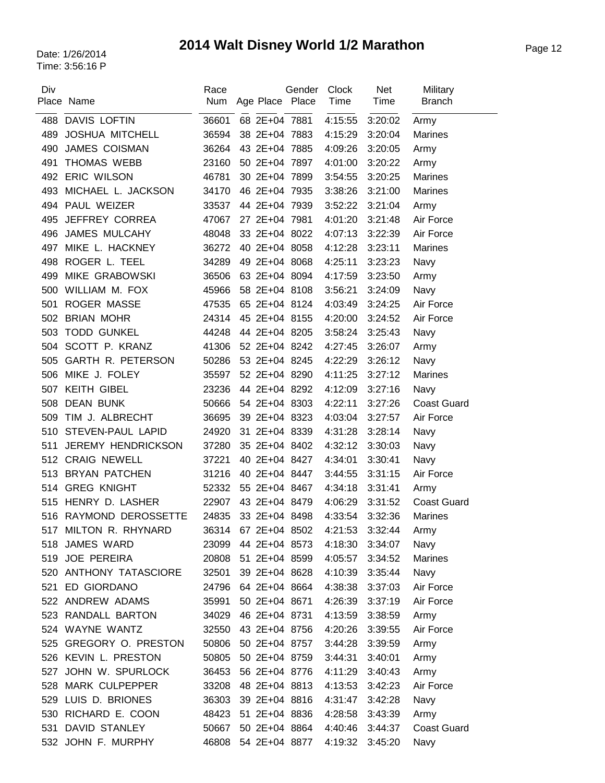## Page 12 Date: 1/26/2014 **2014 Walt Disney World 1/2 Marathon**

| Div | Place Name                | Race<br>Num | Age Place Place | Gender | Clock<br>Time | <b>Net</b><br>Time | Military<br><b>Branch</b> |
|-----|---------------------------|-------------|-----------------|--------|---------------|--------------------|---------------------------|
| 488 | <b>DAVIS LOFTIN</b>       | 36601       | 68 2E+04 7881   |        | 4:15:55       | 3:20:02            | Army                      |
| 489 | <b>JOSHUA MITCHELL</b>    | 36594       | 38 2E+04 7883   |        | 4:15:29       | 3:20:04            | <b>Marines</b>            |
| 490 | JAMES COISMAN             | 36264       | 43 2E+04 7885   |        | 4:09:26       | 3:20:05            | Army                      |
| 491 | <b>THOMAS WEBB</b>        | 23160       | 50 2E+04 7897   |        | 4:01:00       | 3:20:22            | Army                      |
|     | 492 ERIC WILSON           | 46781       | 30 2E+04 7899   |        | 3:54:55       | 3:20:25            | <b>Marines</b>            |
| 493 | MICHAEL L. JACKSON        | 34170       | 46 2E+04 7935   |        | 3:38:26       | 3:21:00            | <b>Marines</b>            |
| 494 | PAUL WEIZER               | 33537       | 44 2E+04 7939   |        | 3:52:22       | 3:21:04            | Army                      |
| 495 | <b>JEFFREY CORREA</b>     | 47067       | 27 2E+04 7981   |        | 4:01:20       | 3:21:48            | Air Force                 |
| 496 | <b>JAMES MULCAHY</b>      | 48048       | 33 2E+04 8022   |        | 4:07:13       | 3:22:39            | Air Force                 |
| 497 | MIKE L. HACKNEY           | 36272       | 40 2E+04 8058   |        | 4:12:28       | 3:23:11            | Marines                   |
| 498 | ROGER L. TEEL             | 34289       | 49 2E+04 8068   |        | 4:25:11       | 3:23:23            | Navy                      |
| 499 | <b>MIKE GRABOWSKI</b>     | 36506       | 63 2E+04 8094   |        | 4:17:59       | 3:23:50            | Army                      |
| 500 | WILLIAM M. FOX            | 45966       | 58 2E+04 8108   |        | 3:56:21       | 3:24:09            | Navy                      |
| 501 | <b>ROGER MASSE</b>        | 47535       | 65 2E+04 8124   |        | 4:03:49       | 3:24:25            | Air Force                 |
| 502 | <b>BRIAN MOHR</b>         | 24314       | 45 2E+04 8155   |        | 4:20:00       | 3:24:52            | Air Force                 |
| 503 | <b>TODD GUNKEL</b>        | 44248       | 44 2E+04 8205   |        | 3:58:24       | 3:25:43            | Navy                      |
|     | 504 SCOTT P. KRANZ        | 41306       | 52 2E+04 8242   |        | 4:27:45       | 3:26:07            | Army                      |
| 505 | <b>GARTH R. PETERSON</b>  | 50286       | 53 2E+04 8245   |        | 4:22:29       | 3:26:12            | Navy                      |
| 506 | MIKE J. FOLEY             | 35597       | 52 2E+04 8290   |        | 4:11:25       | 3:27:12            | <b>Marines</b>            |
| 507 | <b>KEITH GIBEL</b>        | 23236       | 44 2E+04 8292   |        | 4:12:09       | 3:27:16            | Navy                      |
| 508 | <b>DEAN BUNK</b>          | 50666       | 54 2E+04 8303   |        | 4:22:11       | 3:27:26            | <b>Coast Guard</b>        |
| 509 | TIM J. ALBRECHT           | 36695       | 39 2E+04 8323   |        | 4:03:04       | 3:27:57            | Air Force                 |
| 510 | STEVEN-PAUL LAPID         | 24920       | 31 2E+04 8339   |        | 4:31:28       | 3:28:14            | Navy                      |
| 511 | <b>JEREMY HENDRICKSON</b> | 37280       | 35 2E+04 8402   |        | 4:32:12       | 3:30:03            | Navy                      |
|     | 512 CRAIG NEWELL          | 37221       | 40 2E+04 8427   |        | 4:34:01       | 3:30:41            | Navy                      |
| 513 | <b>BRYAN PATCHEN</b>      | 31216       | 40 2E+04 8447   |        | 3:44:55       | 3:31:15            | Air Force                 |
| 514 | <b>GREG KNIGHT</b>        | 52332       | 55 2E+04 8467   |        | 4:34:18       | 3:31:41            | Army                      |
| 515 | HENRY D. LASHER           | 22907       | 43 2E+04 8479   |        | 4:06:29       | 3:31:52            | <b>Coast Guard</b>        |
|     | 516 RAYMOND DEROSSETTE    | 24835       | 33 2E+04 8498   |        | 4:33:54       | 3:32:36            | <b>Marines</b>            |
|     | 517 MILTON R. RHYNARD     | 36314       | 67 2E+04 8502   |        | 4:21:53       | 3:32:44            | Army                      |
| 518 | <b>JAMES WARD</b>         | 23099       | 44 2E+04 8573   |        | 4:18:30       | 3:34:07            | Navy                      |
|     | 519 JOE PEREIRA           | 20808       | 51 2E+04 8599   |        | 4:05:57       | 3:34:52            | <b>Marines</b>            |
|     | 520 ANTHONY TATASCIORE    | 32501       | 39 2E+04 8628   |        | 4:10:39       | 3:35:44            | Navy                      |
|     | 521 ED GIORDANO           | 24796       | 64 2E+04 8664   |        | 4:38:38       | 3:37:03            | Air Force                 |
|     | 522 ANDREW ADAMS          | 35991       | 50 2E+04 8671   |        | 4:26:39       | 3:37:19            | Air Force                 |
|     | 523 RANDALL BARTON        | 34029       | 46 2E+04 8731   |        | 4:13:59       | 3:38:59            | Army                      |
|     | 524 WAYNE WANTZ           | 32550       | 43 2E+04 8756   |        | 4:20:26       | 3:39:55            | Air Force                 |
| 525 | GREGORY O. PRESTON        | 50806       | 50 2E+04 8757   |        | 3:44:28       | 3:39:59            | Army                      |
|     | 526 KEVIN L. PRESTON      | 50805       | 50 2E+04 8759   |        | 3:44:31       | 3:40:01            | Army                      |
| 527 | JOHN W. SPURLOCK          | 36453       | 56 2E+04 8776   |        | 4:11:29       | 3:40:43            | Army                      |
| 528 | <b>MARK CULPEPPER</b>     | 33208       | 48 2E+04 8813   |        | 4:13:53       | 3:42:23            | Air Force                 |
|     | 529 LUIS D. BRIONES       | 36303       | 39 2E+04 8816   |        | 4:31:47       | 3:42:28            | Navy                      |
|     | 530 RICHARD E. COON       | 48423       | 51 2E+04 8836   |        | 4:28:58       | 3:43:39            | Army                      |
| 531 | DAVID STANLEY             | 50667       | 50 2E+04 8864   |        | 4:40:46       | 3:44:37            | <b>Coast Guard</b>        |
| 532 | JOHN F. MURPHY            | 46808       | 54 2E+04 8877   |        | 4:19:32       | 3:45:20            | Navy                      |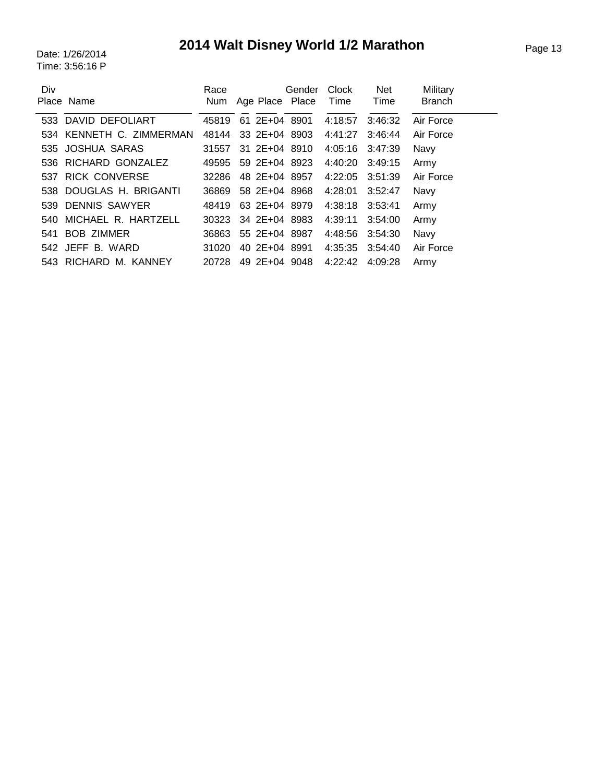# Page 13 Date: 1/26/2014 **2014 Walt Disney World 1/2 Marathon**

| Div | Place Name               | Race                |               | Gender<br>Num Age Place Place Time | <b>Clock</b>    | Net<br>Time | Military<br><b>Branch</b> |
|-----|--------------------------|---------------------|---------------|------------------------------------|-----------------|-------------|---------------------------|
|     | 533 DAVID DEFOLIART      | 45819               | 61 2E+04 8901 |                                    | 4:18:57         | 3:46:32     | Air Force                 |
|     | 534 KENNETH C. ZIMMERMAN | 48144               | 33 2E+04 8903 |                                    | 4:41:27         | 3:46:44     | Air Force                 |
|     | 535 JOSHUA SARAS         | 31557               |               | 31 2E+04 8910                      | 4:05:16         | 3:47:39     | Navy                      |
|     | 536 RICHARD GONZALEZ     | 49595               | 59 2E+04 8923 |                                    | 4:40:20 3:49:15 |             | Army                      |
|     | 537 RICK CONVERSE        | 32286               |               | 48 2E+04 8957                      | 4:22:05         | 3:51:39     | Air Force                 |
|     | 538 DOUGLAS H. BRIGANTI  | 36869               | 58 2E+04 8968 |                                    | 4:28:01         | 3:52:47     | Navy                      |
|     | 539 DENNIS SAWYER        | 48419               | 63 2E+04 8979 |                                    | 4:38:18 3:53:41 |             | Army                      |
|     | 540 MICHAEL R. HARTZELL  | 30323 34 2E+04 8983 |               |                                    | 4:39:11         | 3:54:00     | Army                      |
|     | 541 BOB ZIMMER           | 36863               |               | 55 2E+04 8987                      | 4:48:56         | 3:54:30     | Navy                      |
|     | 542 JEFF B. WARD         | 31020               | 40 2E+04 8991 |                                    | 4:35:35 3:54:40 |             | Air Force                 |
|     | 543 RICHARD M. KANNEY    | 20728               |               | 49 2E+04 9048                      | 4:22:42         | 4:09:28     | Army                      |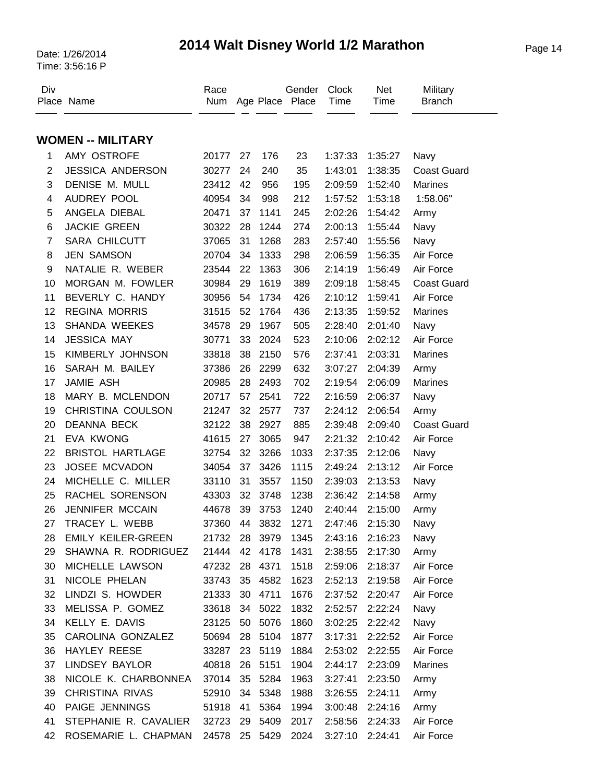### Page 14 Date: 1/26/2014 **2014 Walt Disney World 1/2 Marathon**

| Div                      | Place Name               | Race<br>Num   |    |         | Gender<br>Age Place Place | <b>Clock</b><br>Time | <b>Net</b><br>Time | Military<br><b>Branch</b> |
|--------------------------|--------------------------|---------------|----|---------|---------------------------|----------------------|--------------------|---------------------------|
|                          | <b>WOMEN -- MILITARY</b> |               |    |         |                           |                      |                    |                           |
|                          |                          |               |    |         |                           |                      |                    |                           |
| 1                        | AMY OSTROFE              | 20177         | 27 | 176     | 23                        | 1:37:33              | 1:35:27            | Navy                      |
| $\overline{2}$           | <b>JESSICA ANDERSON</b>  | 30277         | 24 | 240     | 35                        | 1:43:01              | 1:38:35            | <b>Coast Guard</b>        |
| 3                        | DENISE M. MULL           | 23412         | 42 | 956     | 195                       | 2:09:59              | 1:52:40            | <b>Marines</b>            |
| $\overline{\mathcal{A}}$ | AUDREY POOL              | 40954         | 34 | 998     | 212                       | 1:57:52              | 1:53:18            | 1:58.06"                  |
| 5                        | ANGELA DIEBAL            | 20471         | 37 | 1141    | 245                       | 2:02:26              | 1:54:42            | Army                      |
| 6                        | <b>JACKIE GREEN</b>      | 30322         | 28 | 1244    | 274                       | 2:00:13              | 1:55:44            | Navy                      |
| $\overline{7}$           | <b>SARA CHILCUTT</b>     | 37065         | 31 | 1268    | 283                       | 2:57:40              | 1:55:56            | Navy                      |
| 8                        | <b>JEN SAMSON</b>        | 20704         | 34 | 1333    | 298                       | 2:06:59              | 1:56:35            | Air Force                 |
| 9                        | NATALIE R. WEBER         | 23544         | 22 | 1363    | 306                       | 2:14:19              | 1:56:49            | Air Force                 |
| 10                       | MORGAN M. FOWLER         | 30984         | 29 | 1619    | 389                       | 2:09:18              | 1:58:45            | <b>Coast Guard</b>        |
| 11                       | BEVERLY C. HANDY         | 30956         | 54 | 1734    | 426                       | 2:10:12              | 1:59:41            | Air Force                 |
| 12                       | <b>REGINA MORRIS</b>     | 31515         | 52 | 1764    | 436                       | 2:13:35              | 1:59:52            | <b>Marines</b>            |
| 13                       | <b>SHANDA WEEKES</b>     | 34578         | 29 | 1967    | 505                       | 2:28:40              | 2:01:40            | Navy                      |
| 14                       | <b>JESSICA MAY</b>       | 30771         | 33 | 2024    | 523                       | 2:10:06              | 2:02:12            | Air Force                 |
| 15                       | KIMBERLY JOHNSON         | 33818         | 38 | 2150    | 576                       | 2:37:41              | 2:03:31            | Marines                   |
| 16                       | SARAH M. BAILEY          | 37386         | 26 | 2299    | 632                       | 3:07:27              | 2:04:39            | Army                      |
| 17                       | JAMIE ASH                | 20985         | 28 | 2493    | 702                       | 2:19:54              | 2:06:09            | <b>Marines</b>            |
| 18                       | MARY B. MCLENDON         | 20717         | 57 | 2541    | 722                       | 2:16:59              | 2:06:37            | Navy                      |
| 19                       | CHRISTINA COULSON        | 21247         | 32 | 2577    | 737                       | 2:24:12              | 2:06:54            | Army                      |
| 20                       | <b>DEANNA BECK</b>       | 32122         | 38 | 2927    | 885                       | 2:39:48              | 2:09:40            | <b>Coast Guard</b>        |
| 21                       | <b>EVA KWONG</b>         | 41615         | 27 | 3065    | 947                       | 2:21:32              | 2:10:42            | Air Force                 |
| 22                       | <b>BRISTOL HARTLAGE</b>  | 32754         | 32 | 3266    | 1033                      | 2:37:35              | 2:12:06            | Navy                      |
| 23                       | JOSEE MCVADON            | 34054         | 37 | 3426    | 1115                      | 2:49:24              | 2:13:12            | Air Force                 |
| 24                       | MICHELLE C. MILLER       | 33110         | 31 | 3557    | 1150                      | 2:39:03              | 2:13:53            | Navy                      |
| 25                       | RACHEL SORENSON          | 43303         | 32 | 3748    | 1238                      | 2:36:42              | 2:14:58            | Army                      |
| 26                       | JENNIFER MCCAIN          | 44678         | 39 | 3753    | 1240                      | 2:40:44              | 2:15:00            | Army                      |
| 27                       | TRACEY L. WEBB           | 37360         | 44 | 3832    | 1271                      | 2:47:46              | 2:15:30            | Navy                      |
| 28                       | EMILY KEILER-GREEN       | 21732 28 3979 |    |         | 1345                      |                      | 2:43:16 2:16:23    | Navy                      |
| 29                       | SHAWNA R. RODRIGUEZ      | 21444         | 42 | 4178    | 1431                      | 2:38:55              | 2:17:30            | Army                      |
| 30                       | MICHELLE LAWSON          | 47232         | 28 | 4371    | 1518                      | 2:59:06              | 2:18:37            | Air Force                 |
| 31                       | NICOLE PHELAN            | 33743         | 35 | 4582    | 1623                      | 2:52:13              | 2:19:58            | Air Force                 |
| 32                       | LINDZI S. HOWDER         | 21333         | 30 | 4711    | 1676                      |                      | 2:37:52 2:20:47    | Air Force                 |
| 33                       | MELISSA P. GOMEZ         | 33618         |    | 34 5022 | 1832                      | 2:52:57              | 2:22:24            | Navy                      |
| 34                       | KELLY E. DAVIS           | 23125         | 50 | 5076    | 1860                      | 3:02:25              | 2:22:42            | Navy                      |
| 35                       | CAROLINA GONZALEZ        | 50694         | 28 | 5104    | 1877                      | 3:17:31              | 2:22:52            | Air Force                 |
| 36                       | HAYLEY REESE             | 33287         | 23 | 5119    | 1884                      | 2:53:02              | 2:22:55            | Air Force                 |
| 37                       | LINDSEY BAYLOR           | 40818         | 26 | 5151    | 1904                      | 2:44:17              | 2:23:09            | <b>Marines</b>            |
| 38                       | NICOLE K. CHARBONNEA     | 37014         | 35 | 5284    | 1963                      | 3:27:41              | 2:23:50            | Army                      |
| 39                       | CHRISTINA RIVAS          | 52910         | 34 | 5348    | 1988                      | 3:26:55              | 2:24:11            | Army                      |
| 40                       | PAIGE JENNINGS           | 51918         | 41 | 5364    | 1994                      | 3:00:48              | 2:24:16            | Army                      |
| 41                       | STEPHANIE R. CAVALIER    | 32723         | 29 | 5409    | 2017                      | 2:58:56              | 2:24:33            | Air Force                 |
| 42                       | ROSEMARIE L. CHAPMAN     | 24578         |    | 25 5429 | 2024                      | 3:27:10 2:24:41      |                    | Air Force                 |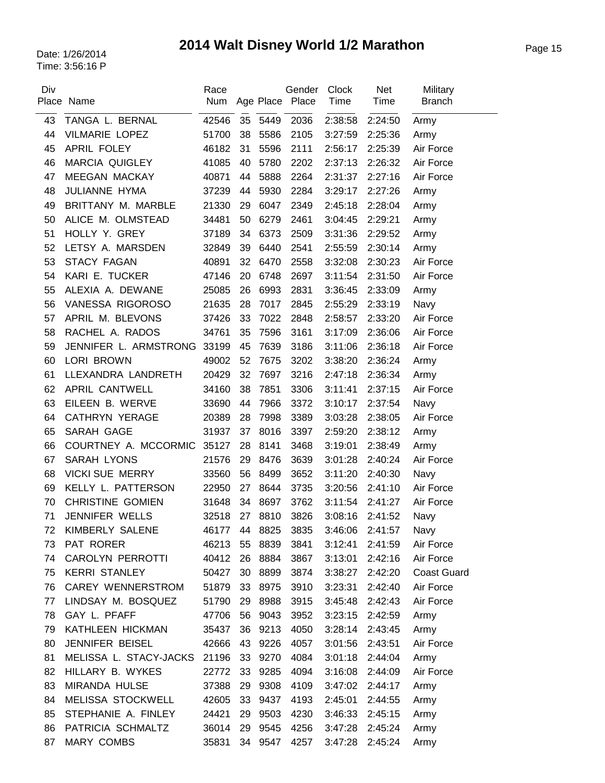# Page 15 Date: 1/26/2014 **2014 Walt Disney World 1/2 Marathon**

| Div | Place Name                   | Race<br>Num |    |         | Gender<br>Age Place Place | <b>Clock</b><br>Time | <b>Net</b><br>Time | Military<br><b>Branch</b> |
|-----|------------------------------|-------------|----|---------|---------------------------|----------------------|--------------------|---------------------------|
| 43  | TANGA L. BERNAL              | 42546       | 35 | 5449    | 2036                      | 2:38:58              | 2:24:50            | Army                      |
| 44  | <b>VILMARIE LOPEZ</b>        | 51700       | 38 | 5586    | 2105                      | 3:27:59              | 2:25:36            | Army                      |
| 45  | APRIL FOLEY                  | 46182       | 31 | 5596    | 2111                      | 2:56:17              | 2:25:39            | Air Force                 |
| 46  | <b>MARCIA QUIGLEY</b>        | 41085       | 40 | 5780    | 2202                      | 2:37:13              | 2:26:32            | Air Force                 |
| 47  | <b>MEEGAN MACKAY</b>         | 40871       | 44 | 5888    | 2264                      | 2:31:37              | 2:27:16            | Air Force                 |
| 48  | JULIANNE HYMA                | 37239       | 44 | 5930    | 2284                      | 3:29:17              | 2:27:26            | Army                      |
| 49  | BRITTANY M. MARBLE           | 21330       | 29 | 6047    | 2349                      | 2:45:18              | 2:28:04            | Army                      |
| 50  | ALICE M. OLMSTEAD            | 34481       | 50 | 6279    | 2461                      | 3:04:45              | 2:29:21            | Army                      |
| 51  | HOLLY Y. GREY                | 37189       | 34 | 6373    | 2509                      | 3:31:36              | 2:29:52            | Army                      |
| 52  | LETSY A. MARSDEN             | 32849       | 39 | 6440    | 2541                      | 2:55:59              | 2:30:14            | Army                      |
| 53  | <b>STACY FAGAN</b>           | 40891       | 32 | 6470    | 2558                      | 3:32:08              | 2:30:23            | Air Force                 |
| 54  | KARI E. TUCKER               | 47146       | 20 | 6748    | 2697                      | 3:11:54              | 2:31:50            | Air Force                 |
| 55  | ALEXIA A. DEWANE             | 25085       | 26 | 6993    | 2831                      | 3:36:45              | 2:33:09            | Army                      |
| 56  | VANESSA RIGOROSO             | 21635       | 28 | 7017    | 2845                      | 2:55:29              | 2:33:19            | Navy                      |
| 57  | APRIL M. BLEVONS             | 37426       | 33 | 7022    | 2848                      | 2:58:57              | 2:33:20            | Air Force                 |
| 58  | RACHEL A. RADOS              | 34761       | 35 | 7596    | 3161                      | 3:17:09              | 2:36:06            | Air Force                 |
| 59  | JENNIFER L. ARMSTRONG        | 33199       | 45 | 7639    | 3186                      | 3:11:06              | 2:36:18            | Air Force                 |
| 60  | <b>LORI BROWN</b>            | 49002       | 52 | 7675    | 3202                      | 3:38:20              | 2:36:24            | Army                      |
| 61  | LLEXANDRA LANDRETH           | 20429       | 32 | 7697    | 3216                      | 2:47:18              | 2:36:34            | Army                      |
| 62  | <b>APRIL CANTWELL</b>        | 34160       | 38 | 7851    | 3306                      | 3:11:41              | 2:37:15            | Air Force                 |
| 63  | EILEEN B. WERVE              | 33690       | 44 | 7966    | 3372                      | 3:10:17              | 2:37:54            | Navy                      |
| 64  | <b>CATHRYN YERAGE</b>        | 20389       | 28 | 7998    | 3389                      | 3:03:28              | 2:38:05            | Air Force                 |
| 65  | SARAH GAGE                   | 31937       | 37 | 8016    | 3397                      | 2:59:20              | 2:38:12            | Army                      |
| 66  | COURTNEY A. MCCORMIC         | 35127       | 28 | 8141    | 3468                      | 3:19:01              | 2:38:49            | Army                      |
| 67  | <b>SARAH LYONS</b>           | 21576       | 29 | 8476    | 3639                      | 3:01:28              | 2:40:24            | Air Force                 |
| 68  | <b>VICKI SUE MERRY</b>       | 33560       | 56 | 8499    | 3652                      | 3:11:20              | 2:40:30            | Navy                      |
| 69  | KELLY L. PATTERSON           | 22950       | 27 | 8644    | 3735                      | 3:20:56              | 2:41:10            | Air Force                 |
| 70  | <b>CHRISTINE GOMIEN</b>      | 31648       | 34 | 8697    | 3762                      | 3:11:54              | 2:41:27            | Air Force                 |
| 71  | JENNIFER WELLS               | 32518       | 27 | 8810    | 3826                      | 3:08:16              | 2:41:52            | Navy                      |
| 72  | KIMBERLY SALENE              | 46177       | 44 | 8825    | 3835                      | 3:46:06              | 2:41:57            | Navy                      |
| 73  | PAT RORER                    | 46213       | 55 | 8839    | 3841                      | 3:12:41              | 2:41:59            | Air Force                 |
| 74  | <b>CAROLYN PERROTTI</b>      | 40412       | 26 | 8884    | 3867                      | 3:13:01              | 2:42:16            | Air Force                 |
| 75  | <b>KERRI STANLEY</b>         | 50427       | 30 | 8899    | 3874                      | 3:38:27              | 2:42:20            | <b>Coast Guard</b>        |
| 76  | <b>CAREY WENNERSTROM</b>     | 51879       | 33 | 8975    | 3910                      | 3:23:31              | 2:42:40            | Air Force                 |
| 77  | LINDSAY M. BOSQUEZ           | 51790       | 29 | 8988    | 3915                      | 3:45:48              | 2:42:43            | Air Force                 |
| 78  | GAY L. PFAFF                 | 47706       | 56 | 9043    | 3952                      | 3:23:15              | 2:42:59            | Army                      |
| 79  | KATHLEEN HICKMAN             | 35437       | 36 | 9213    | 4050                      | 3:28:14              | 2:43:45            | Army                      |
| 80  | JENNIFER BEISEL              | 42666       | 43 | 9226    | 4057                      | 3:01:56              | 2:43:51            | Air Force                 |
| 81  | MELISSA L. STACY-JACKS 21196 |             | 33 | 9270    | 4084                      | 3:01:18              | 2:44:04            | Army                      |
| 82  | HILLARY B. WYKES             | 22772       | 33 | 9285    | 4094                      | 3:16:08              | 2:44:09            | Air Force                 |
| 83  | MIRANDA HULSE                | 37388       | 29 | 9308    | 4109                      | 3:47:02              | 2:44:17            | Army                      |
| 84  | MELISSA STOCKWELL            | 42605       | 33 | 9437    | 4193                      | 2:45:01              | 2:44:55            | Army                      |
| 85  | STEPHANIE A. FINLEY          | 24421       | 29 | 9503    | 4230                      | 3:46:33              | 2:45:15            | Army                      |
| 86  | PATRICIA SCHMALTZ            | 36014       | 29 | 9545    | 4256                      | 3:47:28              | 2:45:24            | Army                      |
| 87  | MARY COMBS                   | 35831       |    | 34 9547 | 4257                      | 3:47:28              | 2:45:24            | Army                      |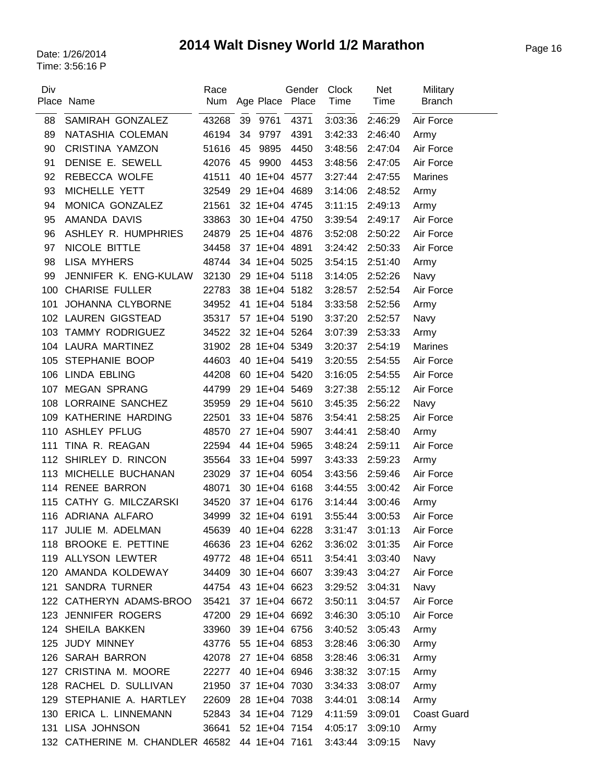# Page 16 Date: 1/26/2014 **2014 Walt Disney World 1/2 Marathon**

| Div | Place Name                      | Race<br>Num         |    |               | Gender<br>Age Place Place | Clock<br>Time | <b>Net</b><br>Time | Military<br><b>Branch</b> |
|-----|---------------------------------|---------------------|----|---------------|---------------------------|---------------|--------------------|---------------------------|
| 88  | SAMIRAH GONZALEZ                | 43268               | 39 | 9761          | 4371                      | 3:03:36       | 2:46:29            | Air Force                 |
| 89  | NATASHIA COLEMAN                | 46194               | 34 | 9797          | 4391                      | 3:42:33       | 2:46:40            | Army                      |
| 90  | <b>CRISTINA YAMZON</b>          | 51616               | 45 | 9895          | 4450                      | 3:48:56       | 2:47:04            | Air Force                 |
| 91  | DENISE E. SEWELL                | 42076               | 45 | 9900          | 4453                      | 3:48:56       | 2:47:05            | Air Force                 |
| 92  | REBECCA WOLFE                   | 41511               |    | 40 1E+04 4577 |                           | 3:27:44       | 2:47:55            | Marines                   |
| 93  | MICHELLE YETT                   | 32549               |    | 29 1E+04 4689 |                           | 3:14:06       | 2:48:52            | Army                      |
| 94  | MONICA GONZALEZ                 | 21561               |    | 32 1E+04 4745 |                           | 3:11:15       | 2:49:13            | Army                      |
| 95  | AMANDA DAVIS                    | 33863               |    | 30 1E+04 4750 |                           | 3:39:54       | 2:49:17            | Air Force                 |
| 96  | ASHLEY R. HUMPHRIES             | 24879               |    | 25 1E+04 4876 |                           | 3:52:08       | 2:50:22            | Air Force                 |
| 97  | NICOLE BITTLE                   | 34458               |    | 37 1E+04 4891 |                           | 3:24:42       | 2:50:33            | Air Force                 |
| 98  | <b>LISA MYHERS</b>              | 48744               |    | 34 1E+04 5025 |                           | 3:54:15       | 2:51:40            | Army                      |
| 99  | JENNIFER K. ENG-KULAW           | 32130               |    | 29 1E+04 5118 |                           | 3:14:05       | 2:52:26            | Navy                      |
| 100 | <b>CHARISE FULLER</b>           | 22783               |    | 38 1E+04 5182 |                           | 3:28:57       | 2:52:54            | Air Force                 |
| 101 | JOHANNA CLYBORNE                | 34952               |    | 41 1E+04 5184 |                           | 3:33:58       | 2:52:56            | Army                      |
|     | 102 LAUREN GIGSTEAD             | 35317               |    | 57 1E+04 5190 |                           | 3:37:20       | 2:52:57            | Navy                      |
| 103 | <b>TAMMY RODRIGUEZ</b>          | 34522               |    | 32 1E+04 5264 |                           | 3:07:39       | 2:53:33            | Army                      |
|     | 104 LAURA MARTINEZ              | 31902               |    | 28 1E+04 5349 |                           | 3:20:37       | 2:54:19            | <b>Marines</b>            |
| 105 | STEPHANIE BOOP                  | 44603               |    | 40 1E+04 5419 |                           | 3:20:55       | 2:54:55            | Air Force                 |
|     | 106 LINDA EBLING                | 44208               |    | 60 1E+04 5420 |                           | 3:16:05       | 2:54:55            | Air Force                 |
| 107 | <b>MEGAN SPRANG</b>             | 44799               |    | 29 1E+04 5469 |                           | 3:27:38       | 2:55:12            | Air Force                 |
| 108 | LORRAINE SANCHEZ                | 35959               |    | 29 1E+04 5610 |                           | 3:45:35       | 2:56:22            | Navy                      |
| 109 | KATHERINE HARDING               | 22501               |    | 33 1E+04 5876 |                           | 3:54:41       | 2:58:25            | Air Force                 |
| 110 | <b>ASHLEY PFLUG</b>             | 48570               |    | 27 1E+04 5907 |                           | 3:44:41       | 2:58:40            | Army                      |
| 111 | TINA R. REAGAN                  | 22594               |    | 44 1E+04 5965 |                           | 3:48:24       | 2:59:11            | Air Force                 |
|     | 112 SHIRLEY D. RINCON           | 35564               |    | 33 1E+04 5997 |                           | 3:43:33       | 2:59:23            | Army                      |
| 113 | MICHELLE BUCHANAN               | 23029               |    | 37 1E+04 6054 |                           | 3:43:56       | 2:59:46            | Air Force                 |
| 114 | <b>RENEE BARRON</b>             | 48071               |    | 30 1E+04 6168 |                           | 3:44:55       | 3:00:42            | Air Force                 |
| 115 | CATHY G. MILCZARSKI             | 34520               |    | 37 1E+04 6176 |                           | 3:14:44       | 3:00:46            | Army                      |
|     | 116 ADRIANA ALFARO              | 34999               |    | 32 1E+04 6191 |                           | 3:55:44       | 3:00:53            | Air Force                 |
| 117 | JULIE M. ADELMAN                | 45639               |    | 40 1E+04 6228 |                           | 3:31:47       | 3:01:13            | Air Force                 |
|     | 118 BROOKE E. PETTINE           | 46636               |    | 23 1E+04 6262 |                           | 3:36:02       | 3:01:35            | Air Force                 |
|     | 119 ALLYSON LEWTER              | 49772               |    | 48 1E+04 6511 |                           | 3:54:41       | 3:03:40            | Navy                      |
|     | 120 AMANDA KOLDEWAY             | 34409               |    | 30 1E+04 6607 |                           | 3:39:43       | 3:04:27            | Air Force                 |
|     | 121 SANDRA TURNER               | 44754 43 1E+04 6623 |    |               |                           | 3:29:52       | 3:04:31            | Navy                      |
|     | 122 CATHERYN ADAMS-BROO         | 35421               |    | 37 1E+04 6672 |                           | 3:50:11       | 3:04:57            | Air Force                 |
|     | 123 JENNIFER ROGERS             | 47200               |    | 29 1E+04 6692 |                           | 3:46:30       | 3:05:10            | Air Force                 |
|     | 124 SHEILA BAKKEN               | 33960               |    | 39 1E+04 6756 |                           | 3:40:52       | 3:05:43            | Army                      |
|     | 125 JUDY MINNEY                 | 43776               |    | 55 1E+04 6853 |                           | 3:28:46       | 3:06:30            | Army                      |
|     | 126 SARAH BARRON                | 42078               |    | 27 1E+04 6858 |                           | 3:28:46       | 3:06:31            | Army                      |
| 127 | CRISTINA M. MOORE               | 22277               |    | 40 1E+04 6946 |                           | 3:38:32       | 3:07:15            | Army                      |
| 128 | RACHEL D. SULLIVAN              | 21950               |    | 37 1E+04 7030 |                           | 3:34:33       | 3:08:07            | Army                      |
|     | 129 STEPHANIE A. HARTLEY        | 22609               |    | 28 1E+04 7038 |                           | 3:44:01       | 3:08:14            | Army                      |
|     | 130 ERICA L. LINNEMANN          | 52843               |    | 34 1E+04 7129 |                           | 4:11:59       | 3:09:01            | <b>Coast Guard</b>        |
|     | 131 LISA JOHNSON                | 36641 52 1E+04 7154 |    |               |                           | 4:05:17       | 3:09:10            | Army                      |
|     | 132 CATHERINE M. CHANDLER 46582 |                     |    | 44 1E+04 7161 |                           | 3:43:44       | 3:09:15            | Navy                      |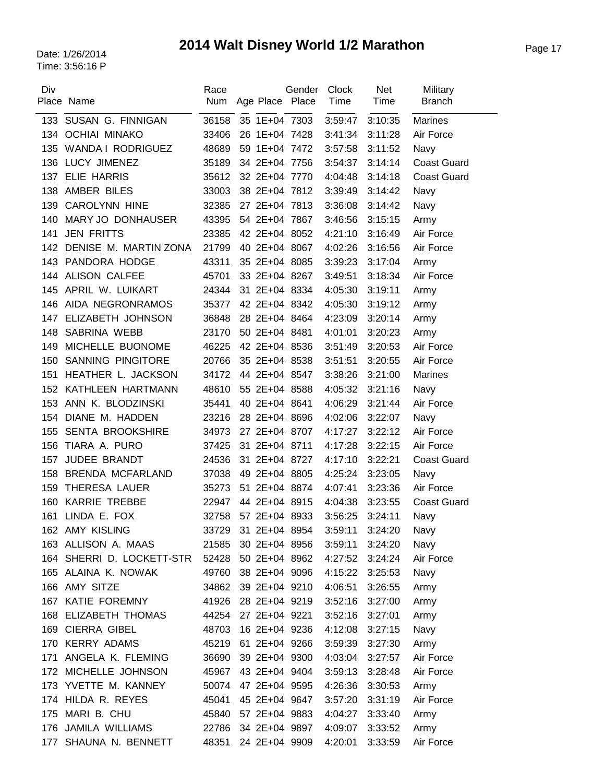# Page 17 Date: 1/26/2014 **2014 Walt Disney World 1/2 Marathon**

| Div | Place Name                | Race<br>Num | Age Place Place | Gender | Clock<br>Time | <b>Net</b><br>Time | Military<br><b>Branch</b> |
|-----|---------------------------|-------------|-----------------|--------|---------------|--------------------|---------------------------|
| 133 | SUSAN G. FINNIGAN         | 36158       | 35 1E+04 7303   |        | 3:59:47       | 3:10:35            | <b>Marines</b>            |
|     | 134 OCHIAI MINAKO         | 33406       | 26 1E+04 7428   |        | 3:41:34       | 3:11:28            | Air Force                 |
|     | 135 WANDA I RODRIGUEZ     | 48689       | 59 1E+04 7472   |        | 3:57:58       | 3:11:52            | Navy                      |
|     | 136 LUCY JIMENEZ          | 35189       | 34 2E+04 7756   |        | 3:54:37       | 3:14:14            | <b>Coast Guard</b>        |
|     | 137 ELIE HARRIS           | 35612       | 32 2E+04 7770   |        | 4:04:48       | 3:14:18            | <b>Coast Guard</b>        |
| 138 | AMBER BILES               | 33003       | 38 2E+04 7812   |        | 3:39:49       | 3:14:42            | Navy                      |
| 139 | CAROLYNN HINE             | 32385       | 27 2E+04 7813   |        | 3:36:08       | 3:14:42            | Navy                      |
| 140 | MARY JO DONHAUSER         | 43395       | 54 2E+04 7867   |        | 3:46:56       | 3:15:15            | Army                      |
| 141 | <b>JEN FRITTS</b>         | 23385       | 42 2E+04 8052   |        | 4:21:10       | 3:16:49            | Air Force                 |
| 142 | DENISE M. MARTIN ZONA     | 21799       | 40 2E+04 8067   |        | 4:02:26       | 3:16:56            | Air Force                 |
| 143 | PANDORA HODGE             | 43311       | 35 2E+04 8085   |        | 3:39:23       | 3:17:04            | Army                      |
| 144 | <b>ALISON CALFEE</b>      | 45701       | 33 2E+04 8267   |        | 3:49:51       | 3:18:34            | Air Force                 |
| 145 | APRIL W. LUIKART          | 24344       | 31 2E+04 8334   |        | 4:05:30       | 3:19:11            | Army                      |
| 146 | AIDA NEGRONRAMOS          | 35377       | 42 2E+04 8342   |        | 4:05:30       | 3:19:12            | Army                      |
| 147 | ELIZABETH JOHNSON         | 36848       | 28 2E+04 8464   |        | 4:23:09       | 3:20:14            | Army                      |
| 148 | SABRINA WEBB              | 23170       | 50 2E+04 8481   |        | 4:01:01       | 3:20:23            | Army                      |
| 149 | MICHELLE BUONOME          | 46225       | 42 2E+04 8536   |        | 3:51:49       | 3:20:53            | Air Force                 |
| 150 | SANNING PINGITORE         | 20766       | 35 2E+04 8538   |        | 3:51:51       | 3:20:55            | Air Force                 |
| 151 | HEATHER L. JACKSON        | 34172       | 44 2E+04 8547   |        | 3:38:26       | 3:21:00            | <b>Marines</b>            |
|     | 152 KATHLEEN HARTMANN     | 48610       | 55 2E+04 8588   |        | 4:05:32       | 3:21:16            | Navy                      |
| 153 | ANN K. BLODZINSKI         | 35441       | 40 2E+04 8641   |        | 4:06:29       | 3:21:44            | Air Force                 |
| 154 | DIANE M. HADDEN           | 23216       | 28 2E+04 8696   |        | 4:02:06       | 3:22:07            | Navy                      |
| 155 | <b>SENTA BROOKSHIRE</b>   | 34973       | 27 2E+04 8707   |        | 4:17:27       | 3:22:12            | Air Force                 |
| 156 | TIARA A. PURO             | 37425       | 31 2E+04 8711   |        | 4:17:28       | 3:22:15            | Air Force                 |
| 157 | JUDEE BRANDT              | 24536       | 31 2E+04 8727   |        | 4:17:10       | 3:22:21            | <b>Coast Guard</b>        |
| 158 | <b>BRENDA MCFARLAND</b>   | 37038       | 49 2E+04 8805   |        | 4:25:24       | 3:23:05            | Navy                      |
| 159 | THERESA LAUER             | 35273       | 51 2E+04 8874   |        | 4:07:41       | 3:23:36            | Air Force                 |
| 160 | <b>KARRIE TREBBE</b>      | 22947       | 44 2E+04 8915   |        | 4:04:38       | 3:23:55            | <b>Coast Guard</b>        |
| 161 | LINDA E. FOX              | 32758       | 57 2E+04 8933   |        | 3:56:25       | 3:24:11            | Navy                      |
|     | 162 AMY KISLING           | 33729       | 31 2E+04 8954   |        | 3:59:11       | 3:24:20            | Navy                      |
|     | 163 ALLISON A. MAAS       | 21585       | 30 2E+04 8956   |        | 3:59:11       | 3:24:20            | Navy                      |
|     | 164 SHERRI D. LOCKETT-STR | 52428       | 50 2E+04 8962   |        | 4:27:52       | 3:24:24            | Air Force                 |
|     | 165 ALAINA K. NOWAK       | 49760       | 38 2E+04 9096   |        | 4:15:22       | 3:25:53            | Navy                      |
|     | 166 AMY SITZE             | 34862       | 39 2E+04 9210   |        | 4:06:51       | 3:26:55            | Army                      |
|     | 167 KATIE FOREMNY         | 41926       | 28 2E+04 9219   |        | 3:52:16       | 3:27:00            | Army                      |
|     | 168 ELIZABETH THOMAS      | 44254       | 27 2E+04 9221   |        | 3:52:16       | 3:27:01            | Army                      |
|     | 169 CIERRA GIBEL          | 48703       | 16 2E+04 9236   |        | 4:12:08       | 3:27:15            | Navy                      |
|     | 170 KERRY ADAMS           | 45219       | 61 2E+04 9266   |        | 3:59:39       | 3:27:30            | Army                      |
|     | 171 ANGELA K. FLEMING     | 36690       | 39 2E+04 9300   |        | 4:03:04       | 3:27:57            | Air Force                 |
|     | 172 MICHELLE JOHNSON      | 45967       | 43 2E+04 9404   |        | 3:59:13       | 3:28:48            | Air Force                 |
|     | 173 YVETTE M. KANNEY      | 50074       | 47 2E+04 9595   |        | 4:26:36       | 3:30:53            | Army                      |
|     | 174 HILDA R. REYES        | 45041       | 45 2E+04 9647   |        | 3:57:20       | 3:31:19            | Air Force                 |
|     | 175 MARI B. CHU           | 45840       | 57 2E+04 9883   |        | 4:04:27       | 3:33:40            | Army                      |
|     | 176 JAMILA WILLIAMS       | 22786       | 34 2E+04 9897   |        | 4:09:07       | 3:33:52            | Army                      |
| 177 | SHAUNA N. BENNETT         | 48351       | 24 2E+04 9909   |        | 4:20:01       | 3:33:59            | Air Force                 |